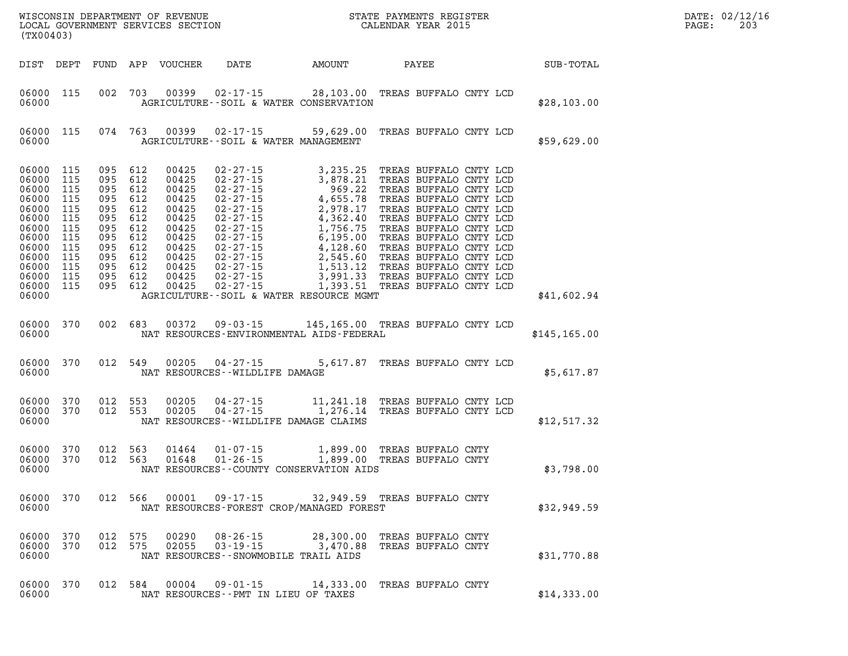| WISCONSIN DEPARTMENT OF REVENUE<br>LOCAL GOVERNMENT SERVICES SECTION FOR THE STATE PAYMENTS REGISTER<br>(TX00403)          |                                                                                         |                                               |                                                                                                                 |                                                                                                                   |                                                                                                                                                                                                                                                                             |                                                                                                                                                                                                                                |                                          |                                                                                                                                                                                                                                                                                                                                                         |               | DATE: 02/12/16<br>PAGE:<br>203 |
|----------------------------------------------------------------------------------------------------------------------------|-----------------------------------------------------------------------------------------|-----------------------------------------------|-----------------------------------------------------------------------------------------------------------------|-------------------------------------------------------------------------------------------------------------------|-----------------------------------------------------------------------------------------------------------------------------------------------------------------------------------------------------------------------------------------------------------------------------|--------------------------------------------------------------------------------------------------------------------------------------------------------------------------------------------------------------------------------|------------------------------------------|---------------------------------------------------------------------------------------------------------------------------------------------------------------------------------------------------------------------------------------------------------------------------------------------------------------------------------------------------------|---------------|--------------------------------|
| DIST DEPT                                                                                                                  |                                                                                         |                                               |                                                                                                                 | FUND APP VOUCHER                                                                                                  | DATE                                                                                                                                                                                                                                                                        | AMOUNT                                                                                                                                                                                                                         | PAYEE                                    |                                                                                                                                                                                                                                                                                                                                                         | SUB-TOTAL     |                                |
| 06000 115<br>06000                                                                                                         |                                                                                         |                                               | 002 703                                                                                                         | 00399                                                                                                             | 02-17-15 28,103.00 TREAS BUFFALO CNTY LCD<br>AGRICULTURE--SOIL & WATER CONSERVATION                                                                                                                                                                                         |                                                                                                                                                                                                                                |                                          |                                                                                                                                                                                                                                                                                                                                                         | \$28,103.00   |                                |
| 06000<br>06000                                                                                                             | 115                                                                                     |                                               | 074 763                                                                                                         | 00399                                                                                                             | $02 - 17 - 15$ 59,629.00<br>AGRICULTURE--SOIL & WATER MANAGEMENT                                                                                                                                                                                                            |                                                                                                                                                                                                                                |                                          | TREAS BUFFALO CNTY LCD                                                                                                                                                                                                                                                                                                                                  | \$59,629.00   |                                |
| 06000<br>06000<br>06000<br>06000<br>06000<br>06000<br>06000<br>06000<br>06000<br>06000<br>06000<br>06000<br>06000<br>06000 | 115<br>115<br>115<br>115<br>115<br>115<br>115<br>115<br>115<br>115<br>115<br>115<br>115 | 095<br>095<br>095<br>095<br>095<br>095<br>095 | 095 612<br>612<br>095 612<br>612<br>612<br>612<br>612<br>612<br>095 612<br>612<br>095 612<br>095 612<br>095 612 | 00425<br>00425<br>00425<br>00425<br>00425<br>00425<br>00425<br>00425<br>00425<br>00425<br>00425<br>00425<br>00425 | $02 - 27 - 15$<br>$02 - 27 - 15$<br>$02 - 27 - 15$<br>02-27-15<br>$02 - 27 - 15$<br>$02 - 27 - 15$<br>$02 - 27 - 15$<br>$02 - 27 - 15$<br>$02 - 27 - 15$<br>$02 - 27 - 15$<br>$02 - 27 - 15$<br>$02 - 27 - 15$<br>$02 - 27 - 15$<br>AGRICULTURE--SOIL & WATER RESOURCE MGMT | 3,235.25<br>3,235.25<br>3,878.21<br>969.22<br>4,655.78<br>4,362.40<br>4,362.40<br>1,756.75<br>6,195.00<br>4,128.60<br>2,545.60<br>2,545.60<br>1,513.12<br>3,991.33<br>7,756.75<br>7,545.60<br>1,513.12<br>3,991.33<br>1,393.51 |                                          | TREAS BUFFALO CNTY LCD<br>TREAS BUFFALO CNTY LCD<br>TREAS BUFFALO CNTY LCD<br>TREAS BUFFALO CNTY LCD<br>TREAS BUFFALO CNTY LCD<br>TREAS BUFFALO CNTY LCD<br>TREAS BUFFALO CNTY LCD<br>TREAS BUFFALO CNTY LCD<br>TREAS BUFFALO CNTY LCD<br>TREAS BUFFALO CNTY LCD<br>TREAS BUFFALO CNTY LCD<br>TREAS BUFFALO CNTY LCD<br>1,393.51 TREAS BUFFALO CNTY LCD | \$41,602.94   |                                |
| 06000<br>06000                                                                                                             | 370                                                                                     |                                               | 002 683                                                                                                         | 00372                                                                                                             | 09-03-15 145,165.00 TREAS BUFFALO CNTY LCD<br>NAT RESOURCES-ENVIRONMENTAL AIDS-FEDERAL                                                                                                                                                                                      |                                                                                                                                                                                                                                |                                          |                                                                                                                                                                                                                                                                                                                                                         | \$145, 165.00 |                                |
| 06000<br>06000                                                                                                             | 370                                                                                     |                                               | 012 549                                                                                                         | 00205                                                                                                             | $04 - 27 - 15$<br>NAT RESOURCES - - WILDLIFE DAMAGE                                                                                                                                                                                                                         |                                                                                                                                                                                                                                |                                          | 5,617.87 TREAS BUFFALO CNTY LCD                                                                                                                                                                                                                                                                                                                         | \$5,617.87    |                                |
| 06000<br>06000<br>06000                                                                                                    | 370<br>370                                                                              |                                               | 012 553<br>012 553                                                                                              | 00205<br>00205                                                                                                    | 04-27-15<br>$04 - 27 - 15$<br>NAT RESOURCES--WILDLIFE DAMAGE CLAIMS                                                                                                                                                                                                         | 11,241.18 TREAS BUFFALO CNTY LCD<br>1,276.14                                                                                                                                                                                   |                                          | TREAS BUFFALO CNTY LCD                                                                                                                                                                                                                                                                                                                                  | \$12,517.32   |                                |
| 06000<br>06000<br>06000                                                                                                    | 370<br>370                                                                              | 012                                           | 563<br>012 563                                                                                                  | 01464<br>01648                                                                                                    | 01-07-15<br>$01 - 26 - 15$<br>NAT RESOURCES - COUNTY CONSERVATION AIDS                                                                                                                                                                                                      | 1,899.00 TREAS BUFFALO CNTY<br>1,899.00 TREAS BUFFALO CNTY                                                                                                                                                                     | TREAS BUFFALO CNTY                       |                                                                                                                                                                                                                                                                                                                                                         | \$3,798.00    |                                |
| 06000<br>06000                                                                                                             | 370                                                                                     |                                               | 012 566                                                                                                         | 00001                                                                                                             | $09 - 17 - 15$<br>NAT RESOURCES-FOREST CROP/MANAGED FOREST                                                                                                                                                                                                                  | 32,949.59 TREAS BUFFALO CNTY                                                                                                                                                                                                   |                                          |                                                                                                                                                                                                                                                                                                                                                         | \$32,949.59   |                                |
| 06000<br>06000<br>06000                                                                                                    | 370<br>370                                                                              |                                               | 012 575<br>012 575                                                                                              | 00290<br>02055                                                                                                    | $08 - 26 - 15$<br>$03 - 19 - 15$<br>NAT RESOURCES - - SNOWMOBILE TRAIL AIDS                                                                                                                                                                                                 | 28,300.00<br>3,470.88                                                                                                                                                                                                          | TREAS BUFFALO CNTY<br>TREAS BUFFALO CNTY |                                                                                                                                                                                                                                                                                                                                                         | \$31,770.88   |                                |
| 06000<br>06000                                                                                                             | 370                                                                                     |                                               | 012 584                                                                                                         | 00004                                                                                                             | 09-01-15<br>NAT RESOURCES - - PMT IN LIEU OF TAXES                                                                                                                                                                                                                          | 14,333.00 TREAS BUFFALO CNTY                                                                                                                                                                                                   |                                          |                                                                                                                                                                                                                                                                                                                                                         | \$14,333.00   |                                |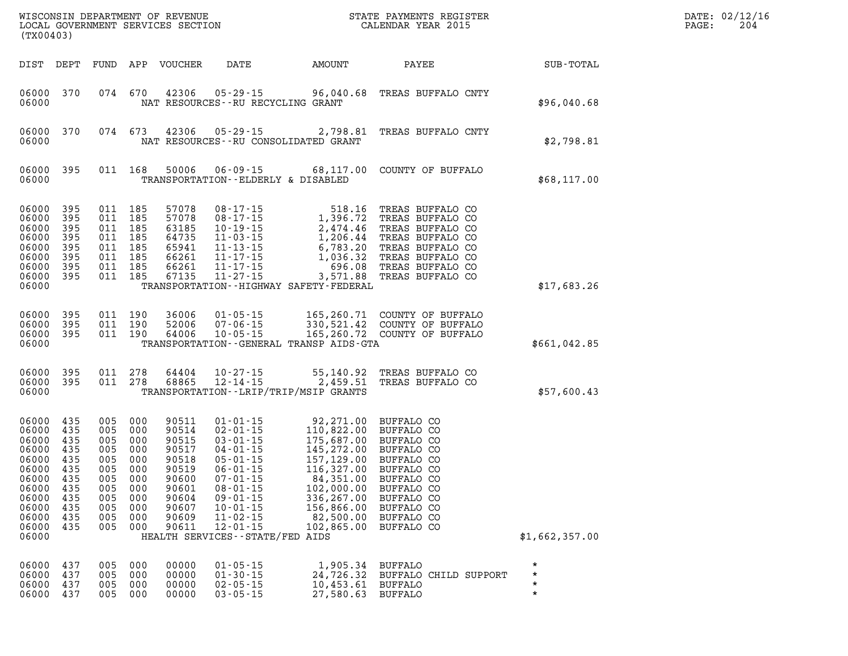| (TX00403)                                                                                                         |                                                                                  |                                                                                  |                                                                                  | WISCONSIN DEPARTMENT OF REVENUE<br>LOCAL GOVERNMENT SERVICES SECTION                                     |                                                                                                                                                                                                                                                            |                                                                                                                                                                   | STATE PAYMENTS REGISTER<br>CALENDAR YEAR 2015                                                                                                                               |                                          | DATE: 02/12/16<br>204<br>PAGE: |
|-------------------------------------------------------------------------------------------------------------------|----------------------------------------------------------------------------------|----------------------------------------------------------------------------------|----------------------------------------------------------------------------------|----------------------------------------------------------------------------------------------------------|------------------------------------------------------------------------------------------------------------------------------------------------------------------------------------------------------------------------------------------------------------|-------------------------------------------------------------------------------------------------------------------------------------------------------------------|-----------------------------------------------------------------------------------------------------------------------------------------------------------------------------|------------------------------------------|--------------------------------|
| DIST DEPT                                                                                                         |                                                                                  | FUND                                                                             |                                                                                  | APP VOUCHER                                                                                              | DATE                                                                                                                                                                                                                                                       | AMOUNT                                                                                                                                                            | PAYEE                                                                                                                                                                       | SUB-TOTAL                                |                                |
| 06000<br>06000                                                                                                    | 370                                                                              | 074 670                                                                          |                                                                                  | 42306                                                                                                    | $05 - 29 - 15$<br>NAT RESOURCES -- RU RECYCLING GRANT                                                                                                                                                                                                      | 96,040.68                                                                                                                                                         | TREAS BUFFALO CNTY                                                                                                                                                          | \$96,040.68                              |                                |
| 06000<br>06000                                                                                                    | 370                                                                              | 074 673                                                                          |                                                                                  | 42306                                                                                                    | 05 - 29 - 15<br>NAT RESOURCES - - RU CONSOLIDATED GRANT                                                                                                                                                                                                    | 2,798.81                                                                                                                                                          | TREAS BUFFALO CNTY                                                                                                                                                          | \$2,798.81                               |                                |
| 06000<br>06000                                                                                                    | 395                                                                              | 011 168                                                                          |                                                                                  | 50006                                                                                                    | TRANSPORTATION--ELDERLY & DISABLED                                                                                                                                                                                                                         | $06 - 09 - 15$ 68,117.00                                                                                                                                          | COUNTY OF BUFFALO                                                                                                                                                           | \$68,117.00                              |                                |
| 06000<br>06000<br>06000<br>06000<br>06000<br>06000<br>06000<br>06000<br>06000                                     | 395<br>395<br>395<br>395<br>395<br>395<br>395<br>395                             | 011<br>011<br>011<br>011<br>011<br>011<br>011<br>011                             | 185<br>185<br>185<br>185<br>185<br>185<br>185<br>185                             | 57078<br>57078<br>63185<br>64735<br>65941<br>66261<br>66261<br>67135                                     | $08 - 17 - 15$<br>$08 - 17 - 15$<br>$10 - 19 - 15$<br>$11 - 03 - 15$<br>$11 - 13 - 15$<br>$11 - 17 - 15$<br>$11 - 17 - 15$<br>$11 - 27 - 15$                                                                                                               | $\begin{array}{r} 518. \\ 1,396.7 \\ 2,474.46 \\ 5 \\ 6,783.2^{\circ} \\ 1.0^{\circ} \end{array}$<br>3,571.88<br>TRANSPORTATION - - HIGHWAY SAFETY - FEDERAL      | TREAS BUFFALO CO<br>TREAS BUFFALO CO<br>TREAS BUFFALO CO<br>TREAS BUFFALO CO<br>TREAS BUFFALO CO<br>TREAS BUFFALO CO<br>TREAS BUFFALO CO<br>TREAS BUFFALO CO                | \$17,683.26                              |                                |
| 06000<br>06000<br>06000<br>06000                                                                                  | 395<br>395<br>395                                                                | 011 190<br>011 190<br>011 190                                                    |                                                                                  | 36006<br>52006<br>64006                                                                                  | $01 - 05 - 15$<br>$07 - 06 - 15$<br>$10 - 05 - 15$                                                                                                                                                                                                         | TRANSPORTATION - - GENERAL TRANSP AIDS - GTA                                                                                                                      | 165,260.71 COUNTY OF BUFFALO<br>165,260.71 COUNTI CL - 00111 CL - 012110<br>330,521.42 COUNTY OF BUFFALO<br>165,260.72 COUNTY OF BUFFALO                                    | \$661,042.85                             |                                |
| 06000<br>06000<br>06000                                                                                           | 395<br>395                                                                       | 011<br>011 278                                                                   | 278                                                                              | 64404<br>68865                                                                                           | $10 - 27 - 15$<br>$12 - 14 - 15$<br>TRANSPORTATION - - LRIP/TRIP/MSIP GRANTS                                                                                                                                                                               | 55,140.92<br>2,459.51                                                                                                                                             | TREAS BUFFALO CO<br>TREAS BUFFALO CO                                                                                                                                        | \$57,600.43                              |                                |
| 06000<br>06000<br>06000<br>06000<br>06000<br>06000<br>06000<br>06000<br>06000<br>06000<br>06000<br>06000<br>06000 | 435<br>435<br>435<br>435<br>435<br>435<br>435<br>435<br>435<br>435<br>435<br>435 | 005<br>005<br>005<br>005<br>005<br>005<br>005<br>005<br>005<br>005<br>005<br>005 | 000<br>000<br>000<br>000<br>000<br>000<br>000<br>000<br>000<br>000<br>000<br>000 | 90511<br>90514<br>90515<br>90517<br>90518<br>90519<br>90600<br>90601<br>90604<br>90607<br>90609<br>90611 | $01 - 01 - 15$<br>$02 - 01 - 15$<br>$03 - 01 - 15$<br>$04 - 01 - 15$<br>$05 - 01 - 15$<br>$06 - 01 - 15$<br>$07 - 01 - 15$<br>$08 - 01 - 15$<br>$09 - 01 - 15$<br>$10 - 01 - 15$<br>$11 - 02 - 15$<br>$12 - 01 - 15$<br>HEALTH SERVICES - - STATE/FED AIDS | 92,271.00<br>110,822.00<br>175,687.00<br>145,272.00<br>157,129.00<br>116,327.00<br>84,351.00<br>102,000.00<br>336,267.00<br>156,866.00<br>82,500.00<br>102,865.00 | BUFFALO CO<br>BUFFALO CO<br>BUFFALO CO<br>BUFFALO CO<br>BUFFALO CO<br>BUFFALO CO<br>BUFFALO CO<br><b>BUFFALO CO</b><br>BUFFALO CO<br>BUFFALO CO<br>BUFFALO CO<br>BUFFALO CO | \$1,662,357.00                           |                                |
| 06000<br>06000<br>06000<br>06000                                                                                  | 437<br>437<br>437<br>437                                                         | 005<br>005<br>005<br>005                                                         | 000<br>000<br>000<br>000                                                         | 00000<br>00000<br>00000<br>00000                                                                         | $01 - 05 - 15$<br>$01 - 30 - 15$<br>$02 - 05 - 15$<br>$03 - 05 - 15$                                                                                                                                                                                       | 1,905.34<br>24,726.32<br>10,453.61<br>27,580.63                                                                                                                   | <b>BUFFALO</b><br>BUFFALO CHILD SUPPORT<br>BUFFALO<br>BUFFALO                                                                                                               | $\star$<br>$\star$<br>$\star$<br>$\star$ |                                |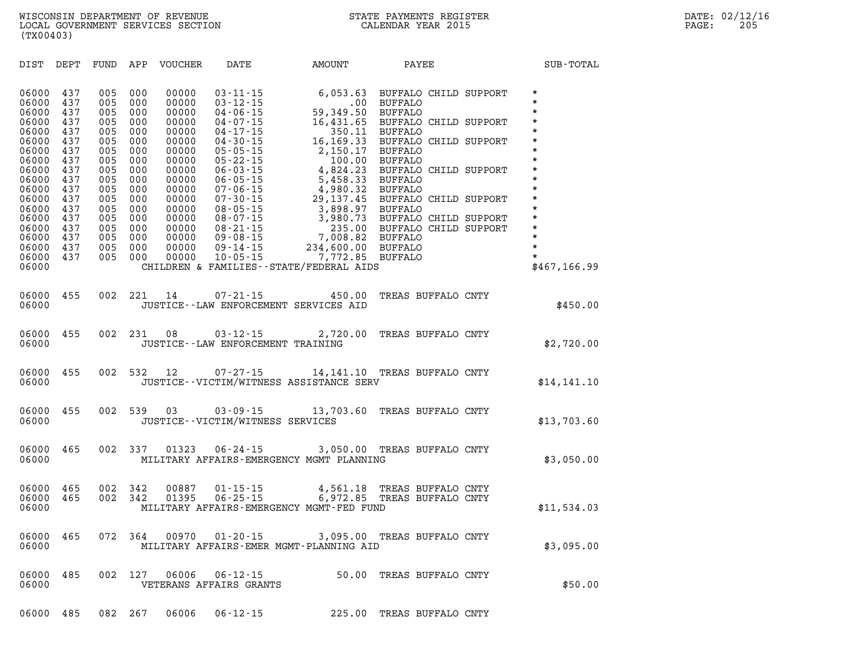| DIST           | DEPT       | FUND       | APP        | <b>VOUCHER</b> | DATE                                                                                                                                        | AMOUNT                                     | PAYEE                                            | SUB-TOTAL           |
|----------------|------------|------------|------------|----------------|---------------------------------------------------------------------------------------------------------------------------------------------|--------------------------------------------|--------------------------------------------------|---------------------|
| 06000<br>06000 | 437<br>437 | 005<br>005 | 000<br>000 | 00000<br>00000 | $03 - 11 - 15$<br>$03 - 12 - 15$                                                                                                            | $.00\,$                                    | 6,053.63 BUFFALO CHILD SUPPORT<br><b>BUFFALO</b> | $\star$<br>$\star$  |
| 06000<br>06000 | 437<br>437 | 005<br>005 | 000<br>000 | 00000<br>00000 | $04 - 06 - 15$<br>$04 - 07 - 15$                                                                                                            | 59,349.50<br>16,431.65                     | <b>BUFFALO</b><br>BUFFALO CHILD SUPPORT          | $\star$<br>$\star$  |
| 06000          | 437        | 005        | 000        | 00000          | $04 - 17 - 15$                                                                                                                              | 350.11                                     | <b>BUFFALO</b>                                   | $^\star$<br>$\star$ |
| 06000<br>06000 | 437<br>437 | 005<br>005 | 000<br>000 | 00000<br>00000 | $04 - 30 - 15$<br>$05 - 05 - 15$                                                                                                            | 16,169.33<br>2,150.17                      | BUFFALO CHILD SUPPORT<br><b>BUFFALO</b>          | $\star$             |
| 06000          | 437        | 005        | 000        | 00000          | $05 - 22 - 15$                                                                                                                              |                                            | 100.00 BUFFALO                                   | $\star$             |
| 06000          | 437        | 005        | 000        | 00000          | 05 - 22 - 15<br>06 - 03 - 15                                                                                                                | 4,824.23                                   | BUFFALO CHILD SUPPORT                            | $\star$             |
| 06000          | 437        | 005        | 000        | 00000          | $06 - 05 - 15$                                                                                                                              | 5,458.33                                   | <b>BUFFALO</b>                                   | $\star$             |
| 06000<br>06000 | 437<br>437 | 005<br>005 | 000<br>000 | 00000<br>00000 | $\begin{array}{r} 00 - 06 - 15 \\ 07 - 30 - 15 \\ 08 - 05 - 15 \\ 08 - 07 - 15 \\ 08 - 21 - 15 \\ 09 - 08 - 14 \\ 09 - 14 - 15 \end{array}$ | 4,980.32<br>29,137.45                      | <b>BUFFALO</b><br>BUFFALO CHILD SUPPORT          | $\star$<br>$\star$  |
| 06000          | 437        | 005        | 000        | 00000          |                                                                                                                                             | 3,898.97 BUFFALO                           |                                                  | $\star$             |
| 06000          | 437        | 005        | 000        | 00000          |                                                                                                                                             | 3,980.73                                   | BUFFALO CHILD SUPPORT                            | $\star$             |
| 06000          | 437        | 005        | 000        | 00000          |                                                                                                                                             |                                            | 235.00 BUFFALO CHILD SUPPORT                     | $\star$             |
| 06000          | 437        | 005        | 000        | 00000          |                                                                                                                                             | 7,008.82                                   | <b>BUFFALO</b>                                   | $\star$<br>$\star$  |
| 06000<br>06000 | 437<br>437 | 005<br>005 | 000<br>000 | 00000<br>00000 | $09 - 14 - 15$<br>$10 - 05 - 15$                                                                                                            | 234,600.00 BUFFALO<br>7,772.85 BUFFALO     |                                                  | $\star$             |
| 06000          |            |            |            |                |                                                                                                                                             | CHILDREN & FAMILIES - - STATE/FEDERAL AIDS |                                                  | \$467, 166.99       |
|                |            |            |            |                |                                                                                                                                             |                                            |                                                  |                     |
| 06000          | 455        | 002        | 221        | 14             | $07 - 21 - 15$                                                                                                                              | 450.00                                     | TREAS BUFFALO CNTY                               |                     |
| 06000          |            |            |            |                |                                                                                                                                             | JUSTICE -- LAW ENFORCEMENT SERVICES AID    |                                                  | \$450.00            |
|                |            |            |            |                |                                                                                                                                             |                                            |                                                  |                     |
| 06000          | 455        | 002        | 231        | 08             | $03 - 12 - 15$                                                                                                                              | 2,720.00                                   | TREAS BUFFALO CNTY                               |                     |
| 06000          |            |            |            |                | JUSTICE - - LAW ENFORCEMENT TRAINING                                                                                                        |                                            |                                                  | \$2,720.00          |
|                |            |            |            |                |                                                                                                                                             |                                            |                                                  |                     |
| 06000          | 455        | 002        | 532        | 12             |                                                                                                                                             | 07-27-15 14,141.10 TREAS BUFFALO CNTY      |                                                  |                     |
| 06000          |            |            |            |                |                                                                                                                                             | JUSTICE - - VICTIM/WITNESS ASSISTANCE SERV |                                                  | \$14,141.10         |
|                |            |            |            |                |                                                                                                                                             |                                            |                                                  |                     |
| 06000          | 455        | 002        | 539        | 03             |                                                                                                                                             | $03 - 09 - 15$ 13,703.60                   | TREAS BUFFALO CNTY                               |                     |
| 06000          |            |            |            |                | JUSTICE - - VICTIM/WITNESS SERVICES                                                                                                         |                                            |                                                  | \$13,703.60         |
|                |            |            |            |                |                                                                                                                                             |                                            |                                                  |                     |
| 06000          | 465        | 002        | 337        | 01323          | $06 - 24 - 15$                                                                                                                              |                                            | 3,050.00 TREAS BUFFALO CNTY                      |                     |
| 06000          |            |            |            |                |                                                                                                                                             | MILITARY AFFAIRS-EMERGENCY MGMT PLANNING   |                                                  | \$3,050.00          |
|                |            |            |            |                |                                                                                                                                             |                                            |                                                  |                     |
| 06000          | 465        | 002        | 342        | 00887          | $01 - 15 - 15$                                                                                                                              | 4,561.18                                   | TREAS BUFFALO CNTY                               |                     |
| 06000          | 465        | 002        | 342        | 01395          | $06 - 25 - 15$                                                                                                                              | 6,972.85                                   | TREAS BUFFALO CNTY                               |                     |
| 06000          |            |            |            |                |                                                                                                                                             | MILITARY AFFAIRS-EMERGENCY MGMT-FED FUND   |                                                  | \$11,534.03         |

**06000 465 072 364 00970 01-20-15 3,095.00 TREAS BUFFALO CNTY**  MILITARY AFFAIRS-EMER MGMT-PLANNING AID **\$3,095.00** \$3,095.00

**06000 485 002 127 06006 06-12-15 50.00 TREAS BUFFALO CNTY DETERANS AFFAIRS GRANTS 1000 1000 1000 1000 1000 1000 1000 1000 \$50.00** 

**06000 485 082 267 06006 06-12-15 225.00 TREAS BUFFALO CNTY**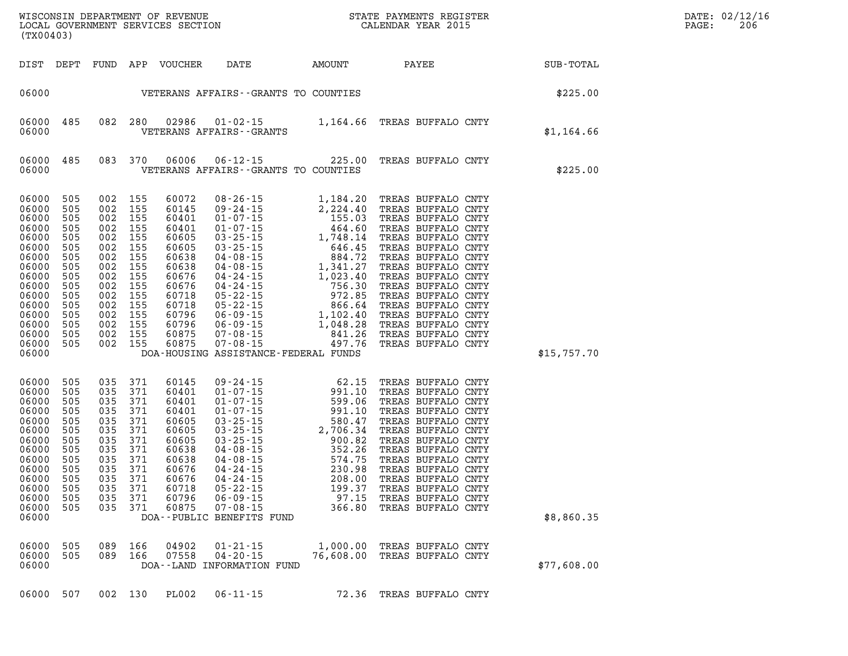| (TX00403)                                                                                                                                        |                                                                                                              |                                                                                                                                                                              |                                                      |                                                                                                                   |                                                                                  | WISCONSIN DEPARTMENT OF REVENUE<br>LOCAL GOVERNMENT SERVICES SECTION<br>CALENDAR YEAR 2015  | $\mathbb{R}^n$ | DATE: 02/12/16<br>$\mathtt{PAGE}$ :<br>206 |
|--------------------------------------------------------------------------------------------------------------------------------------------------|--------------------------------------------------------------------------------------------------------------|------------------------------------------------------------------------------------------------------------------------------------------------------------------------------|------------------------------------------------------|-------------------------------------------------------------------------------------------------------------------|----------------------------------------------------------------------------------|---------------------------------------------------------------------------------------------|----------------|--------------------------------------------|
|                                                                                                                                                  |                                                                                                              |                                                                                                                                                                              |                                                      |                                                                                                                   |                                                                                  | DIST DEPT FUND APP VOUCHER DATE AMOUNT PAYEE PAYEE SUB-TOTAL                                |                |                                            |
|                                                                                                                                                  |                                                                                                              |                                                                                                                                                                              |                                                      |                                                                                                                   | 06000    VETERANS AFFAIRS - GRANTS TO COUNTIES                                   | \$225.00                                                                                    |                |                                            |
|                                                                                                                                                  |                                                                                                              |                                                                                                                                                                              |                                                      |                                                                                                                   |                                                                                  | 06000 485 082 280 02986 01-02-15 1,164.66 TREAS BUFFALO CNTY 06000 VETERANS AFFAIRS--GRANTS | \$1,164.66     |                                            |
| 06000                                                                                                                                            |                                                                                                              |                                                                                                                                                                              |                                                      |                                                                                                                   | VETERANS AFFAIRS -- GRANTS TO COUNTIES                                           | 06000 485 083 370 06006 06-12-15 225.00 TREAS BUFFALO CNTY                                  | \$225.00       |                                            |
| 06000 505<br>06000<br>06000<br>06000<br>06000<br>06000<br>06000<br>06000<br>06000<br>06000<br>06000<br>06000<br>06000<br>06000<br>06000<br>06000 | 505<br>505<br>505<br>505<br>505<br>505<br>505<br>505<br>505<br>505<br>505<br>505<br>505<br>505<br>06000 505  | 002 155<br>002 155<br>002 155<br>002 155<br>002 155<br>002 155<br>002 155<br>002 155<br>002 155<br>002 155<br>002 155<br>002 155<br>002 155<br>002 155<br>002 155<br>002 155 |                                                      |                                                                                                                   | DOA-HOUSING ASSISTANCE-FEDERAL FUNDS                                             |                                                                                             | \$15,757.70    |                                            |
| 06000<br>06000<br>06000<br>06000<br>06000<br>06000<br>06000<br>06000<br>06000<br>06000<br>06000<br>06000<br>06000<br>06000                       | 505<br>505<br>505<br>505<br>505<br>505<br>505<br>505<br>505<br>505<br>505<br>06000 505 035 371<br>505<br>505 | 035<br>035 371<br>035<br>035<br>035<br>035<br>035<br>035<br>035<br>035 371<br>035 371<br>035 371<br>035 371                                                                  | 371<br>371<br>371<br>371<br>371<br>371<br>371<br>371 | 60145<br>60401<br>60401<br>60401<br>60605<br>60605<br>60605<br>60638<br>60638<br>60676<br>60676<br>60796<br>60875 | 60718  05-22-15<br>$06 - 09 - 15$<br>$07 - 08 - 15$<br>DOA--PUBLIC BENEFITS FUND | 199.37 TREAS BUFFALO CNTY<br>97.15 TREAS BUFFALO CNTY<br>366.80 TREAS BUFFALO CNTY          | \$8,860.35     |                                            |
| 06000 505<br>06000<br>06000                                                                                                                      | 505                                                                                                          | 089 166<br>089 166                                                                                                                                                           |                                                      | 04902<br>07558                                                                                                    | $01 - 21 - 15$<br>04-20-15<br>DOA--LAND INFORMATION FUND                         | 1,000.00 TREAS BUFFALO CNTY<br>76,608.00 TREAS BUFFALO CNTY                                 | \$77,608.00    |                                            |
| 06000 507                                                                                                                                        |                                                                                                              | 002 130                                                                                                                                                                      |                                                      | PL002                                                                                                             | $06 - 11 - 15$                                                                   | 72.36 TREAS BUFFALO CNTY                                                                    |                |                                            |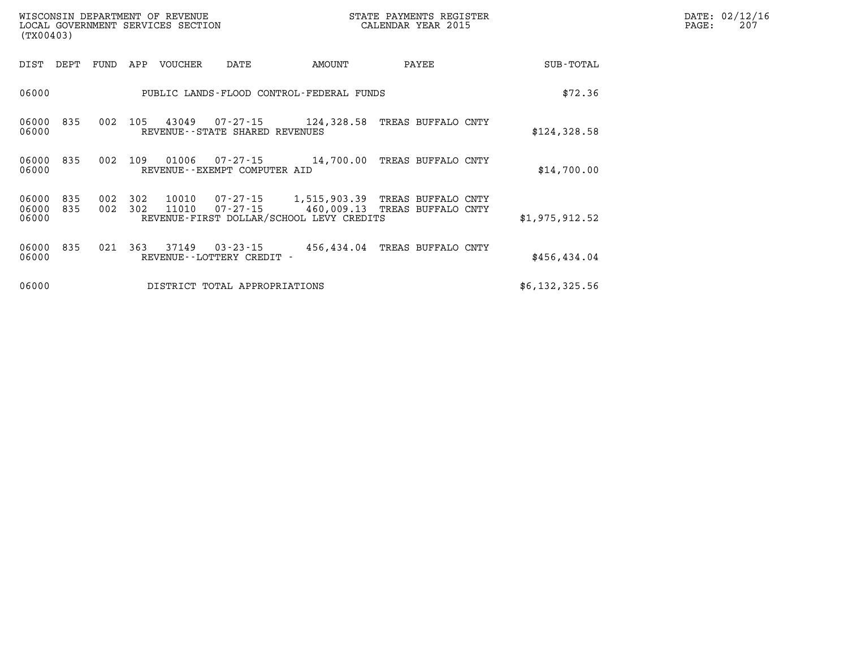| WISCONSIN DEPARTMENT OF REVENUE   | STATE PAYMENTS REGISTER |       | DATE: 02/12/16 |
|-----------------------------------|-------------------------|-------|----------------|
| LOCAL GOVERNMENT SERVICES SECTION | CALENDAR YEAR 2015      | PAGE: | 207            |

|                |                                          |                                                                        |                                                     |                |            |            |            | (TX00403)               |
|----------------|------------------------------------------|------------------------------------------------------------------------|-----------------------------------------------------|----------------|------------|------------|------------|-------------------------|
| SUB-TOTAL      | PAYEE                                    | AMOUNT                                                                 | DATE                                                | <b>VOUCHER</b> | APP        | FUND       | DEPT       | DIST                    |
| \$72.36        |                                          | PUBLIC LANDS-FLOOD CONTROL-FEDERAL FUNDS                               |                                                     |                |            |            |            | 06000                   |
| \$124, 328.58  | TREAS BUFFALO CNTY                       | 124,328.58                                                             | $07 - 27 - 15$<br>REVENUE - - STATE SHARED REVENUES | 43049          | 105        | 002        | 835        | 06000<br>06000          |
| \$14,700.00    | TREAS BUFFALO CNTY                       | 14,700.00                                                              | $07 - 27 - 15$<br>REVENUE--EXEMPT COMPUTER AID      | 01006          | 109        | 002        | 835        | 06000<br>06000          |
| \$1,975,912.52 | TREAS BUFFALO CNTY<br>TREAS BUFFALO CNTY | 1,515,903.39<br>460,009.13<br>REVENUE-FIRST DOLLAR/SCHOOL LEVY CREDITS | 07-27-15<br>$07 - 27 - 15$                          | 10010<br>11010 | 302<br>302 | 002<br>002 | 835<br>835 | 06000<br>06000<br>06000 |
| \$456,434.04   | TREAS BUFFALO CNTY                       | 456,434.04                                                             | $03 - 23 - 15$<br>REVENUE - - LOTTERY CREDIT        | 37149          | 363        | 021        | 835        | 06000<br>06000          |
| \$6,132,325.56 |                                          |                                                                        | DISTRICT TOTAL APPROPRIATIONS                       |                |            |            |            | 06000                   |

WISCONSIN DEPARTMENT OF REVENUE **STATE PAYMENTS REGISTER** LOCAL GOVERNMENT SERVICES SECTION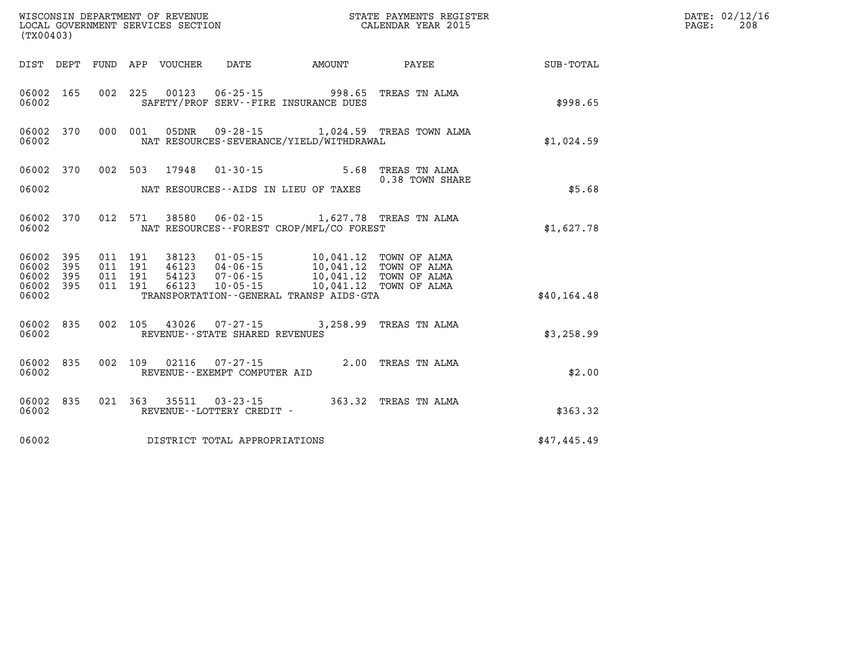| (TX00403) |           |                    |  | WISCONSIN DEPARTMENT OF REVENUE<br>LOCAL GOVERNMENT SERVICES SECTION |                                                                                                                                                                              | STATE PAYMENTS REGISTER<br>CALENDAR YEAR 2015             |              | DATE: 02/12/16<br>$\mathtt{PAGE:}$<br>208 |
|-----------|-----------|--------------------|--|----------------------------------------------------------------------|------------------------------------------------------------------------------------------------------------------------------------------------------------------------------|-----------------------------------------------------------|--------------|-------------------------------------------|
|           |           |                    |  |                                                                      | DIST DEPT FUND APP VOUCHER DATE AMOUNT                                                                                                                                       | <b>PAYEE</b> PAYEE                                        | SUB-TOTAL    |                                           |
| 06002     | 06002 165 |                    |  |                                                                      | 002 225 00123 06-25-15 998.65 TREAS TN ALMA<br>SAFETY/PROF SERV--FIRE INSURANCE DUES                                                                                         |                                                           | \$998.65     |                                           |
| 06002     |           |                    |  |                                                                      | NAT RESOURCES-SEVERANCE/YIELD/WITHDRAWAL                                                                                                                                     | 06002 370 000 001 05DNR 09-28-15 1,024.59 TREAS TOWN ALMA | \$1,024.59   |                                           |
|           |           |                    |  |                                                                      | 06002 370 002 503 17948 01-30-15 5.68 TREAS TN ALMA                                                                                                                          |                                                           |              |                                           |
| 06002     |           |                    |  |                                                                      | NAT RESOURCES--AIDS IN LIEU OF TAXES                                                                                                                                         | 0.38 TOWN SHARE                                           | \$5.68       |                                           |
| 06002     | 06002 370 |                    |  |                                                                      | 012 571 38580 06-02-15 1,627.78 TREAS TN ALMA<br>NAT RESOURCES - - FOREST CROP/MFL/CO FOREST                                                                                 |                                                           | \$1,627.78   |                                           |
| 06002 395 | 06002 395 | 011 191<br>011 191 |  |                                                                      | 38123  01-05-15  10,041.12  TOWN OF ALMA<br>46123  04-06-15  10,041.12  TOWN OF ALMA<br>54123  07-06-15  10,041.12  TOWN OF ALMA<br>66123  10-05-15  10,041.12  TOWN OF ALMA |                                                           |              |                                           |
| 06002 395 |           | 011 191            |  |                                                                      |                                                                                                                                                                              |                                                           |              |                                           |
| 06002     | 06002 395 | 011 191            |  |                                                                      | TRANSPORTATION - - GENERAL TRANSP AIDS - GTA                                                                                                                                 |                                                           | \$40, 164.48 |                                           |
| 06002     | 06002 835 |                    |  | REVENUE--STATE SHARED REVENUES                                       | 002 105 43026 07-27-15 3,258.99 TREAS TN ALMA                                                                                                                                |                                                           | \$3,258.99   |                                           |
| 06002     | 06002 835 |                    |  | REVENUE--EXEMPT COMPUTER AID                                         | 002 109 02116 07-27-15 2.00 TREAS TN ALMA                                                                                                                                    |                                                           | \$2.00       |                                           |
| 06002     |           |                    |  | REVENUE--LOTTERY CREDIT -                                            | 06002 835 021 363 35511 03-23-15 363.32 TREAS TN ALMA                                                                                                                        |                                                           | \$363.32     |                                           |
| 06002     |           |                    |  | DISTRICT TOTAL APPROPRIATIONS                                        |                                                                                                                                                                              |                                                           | \$47,445.49  |                                           |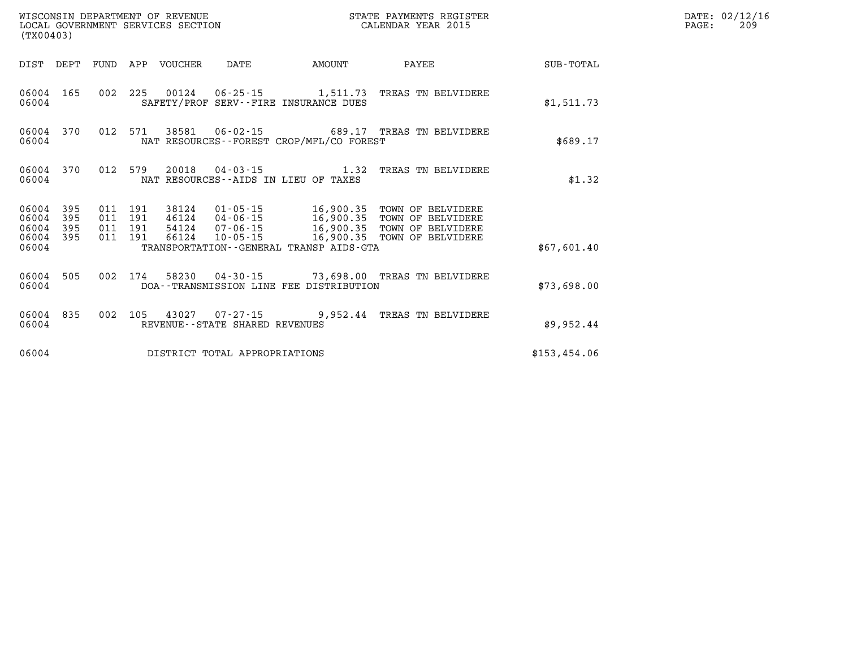| WISCONSIN DEPARTMENT OF REVENUE<br>LOCAL GOVERNMENT SERVICES SECTION<br>(TX00403) |           |                    |         |                            |                                |                                            | STATE PAYMENTS REGISTER<br>CALENDAR YEAR 2015                                                                                                       |              | DATE: 02/12/16<br>PAGE:<br>209 |
|-----------------------------------------------------------------------------------|-----------|--------------------|---------|----------------------------|--------------------------------|--------------------------------------------|-----------------------------------------------------------------------------------------------------------------------------------------------------|--------------|--------------------------------|
|                                                                                   |           |                    |         | DIST DEPT FUND APP VOUCHER | DATE                           | AMOUNT                                     | PAYEE                                                                                                                                               | SUB-TOTAL    |                                |
| 06004                                                                             | 06004 165 |                    |         |                            |                                | SAFETY/PROF SERV--FIRE INSURANCE DUES      | 002 225 00124 06-25-15 1,511.73 TREAS TN BELVIDERE                                                                                                  | \$1,511.73   |                                |
| 06004                                                                             | 06004 370 |                    |         |                            |                                | NAT RESOURCES--FOREST CROP/MFL/CO FOREST   | 012 571 38581 06-02-15 689.17 TREAS TN BELVIDERE                                                                                                    | \$689.17     |                                |
| 06004                                                                             | 06004 370 | 012 579            |         |                            |                                | NAT RESOURCES--AIDS IN LIEU OF TAXES       | 20018  04-03-15   1.32   TREAS TN BELVIDERE                                                                                                         | \$1.32       |                                |
| 06004<br>06004 395<br>06004 395                                                   | 395       | 011 191<br>011 191 | 011 191 |                            |                                |                                            | 38124  01-05-15   16,900.35   TOWN OF BELVIDERE<br>46124  04-06-15  16,900.35  TOWN OF BELVIDERE<br>54124  07-06-15   16,900.35   TOWN OF BELVIDERE |              |                                |
| 06004                                                                             | 06004 395 |                    | 011 191 |                            |                                | TRANSPORTATION - - GENERAL TRANSP AIDS-GTA | 66124  10-05-15  16,900.35  TOWN OF BELVIDERE                                                                                                       | \$67,601.40  |                                |
| 06004                                                                             | 06004 505 |                    |         |                            |                                | DOA--TRANSMISSION LINE FEE DISTRIBUTION    | 002 174 58230 04-30-15 73,698.00 TREAS TN BELVIDERE                                                                                                 | \$73,698.00  |                                |
| 06004                                                                             | 06004 835 |                    |         |                            | REVENUE--STATE SHARED REVENUES |                                            | 002 105 43027 07-27-15 9,952.44 TREAS TN BELVIDERE                                                                                                  | \$9,952.44   |                                |
| 06004                                                                             |           |                    |         |                            | DISTRICT TOTAL APPROPRIATIONS  |                                            |                                                                                                                                                     | \$153,454.06 |                                |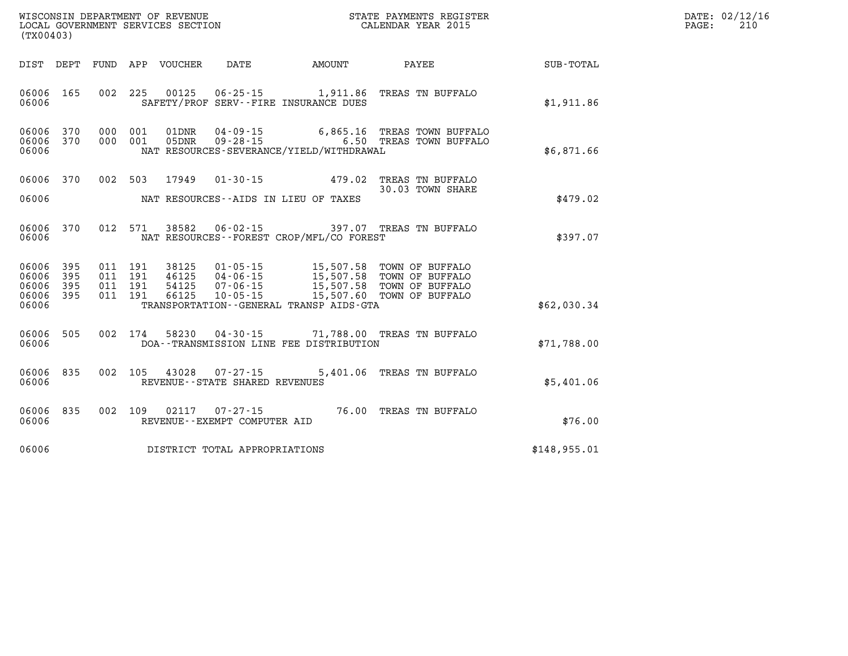| (TX00403)                                             |     |  |  |               |                                                          |                                              |                                                                                                                                                                                                              |              | DATE: 02/12/16<br>PAGE:<br>210 |
|-------------------------------------------------------|-----|--|--|---------------|----------------------------------------------------------|----------------------------------------------|--------------------------------------------------------------------------------------------------------------------------------------------------------------------------------------------------------------|--------------|--------------------------------|
|                                                       |     |  |  |               |                                                          |                                              | DIST DEPT FUND APP VOUCHER DATE AMOUNT PAYEE                                                                                                                                                                 | SUB-TOTAL    |                                |
| 06006 165<br>06006                                    |     |  |  |               |                                                          | SAFETY/PROF SERV--FIRE INSURANCE DUES        | 002 225 00125 06-25-15 1,911.86 TREAS TN BUFFALO                                                                                                                                                             | \$1,911.86   |                                |
| 06006 370<br>06006 370<br>06006                       |     |  |  |               |                                                          | NAT RESOURCES-SEVERANCE/YIELD/WITHDRAWAL     | 000 001 01DNR 04-09-15 6,865.16 TREAS TOWN BUFFALO<br>000 001 05DNR 09-28-15 6.50 TREAS TOWN BUFFALO                                                                                                         | \$6,871.66   |                                |
| 06006 370<br>06006                                    |     |  |  | 002 503 17949 |                                                          | NAT RESOURCES--AIDS IN LIEU OF TAXES         | 01-30-15 479.02 TREAS TN BUFFALO<br>30.03 TOWN SHARE                                                                                                                                                         | \$479.02     |                                |
| 06006 370<br>06006                                    |     |  |  |               |                                                          | NAT RESOURCES--FOREST CROP/MFL/CO FOREST     | 012 571 38582 06-02-15 397.07 TREAS TN BUFFALO                                                                                                                                                               | \$397.07     |                                |
| 06006 395<br>06006<br>06006 395<br>06006 395<br>06006 | 395 |  |  |               |                                                          | TRANSPORTATION - - GENERAL TRANSP AIDS - GTA | 011 191 38125 01-05-15 15,507.58 TOWN OF BUFFALO<br>011 191 46125 04-06-15 15,507.58 TOWN OF BUFFALO<br>011 191 54125 07-06-15 15,507.58 TOWN OF BUFFALO<br>011 191 66125 10-05-15 15,507.60 TOWN OF BUFFALO | \$62,030.34  |                                |
| 06006 505<br>06006                                    |     |  |  |               |                                                          | DOA--TRANSMISSION LINE FEE DISTRIBUTION      | 002 174 58230 04-30-15 71,788.00 TREAS TN BUFFALO                                                                                                                                                            | \$71,788.00  |                                |
| 06006 835<br>06006                                    |     |  |  |               | 002 105 43028 07-27-15<br>REVENUE--STATE SHARED REVENUES |                                              | 5,401.06 TREAS TN BUFFALO                                                                                                                                                                                    | \$5,401.06   |                                |
| 06006 835<br>06006                                    |     |  |  |               | 002 109 02117 07-27-15<br>REVENUE--EXEMPT COMPUTER AID   |                                              | 76.00 TREAS TN BUFFALO                                                                                                                                                                                       | \$76.00      |                                |
| 06006                                                 |     |  |  |               | DISTRICT TOTAL APPROPRIATIONS                            |                                              |                                                                                                                                                                                                              | \$148,955.01 |                                |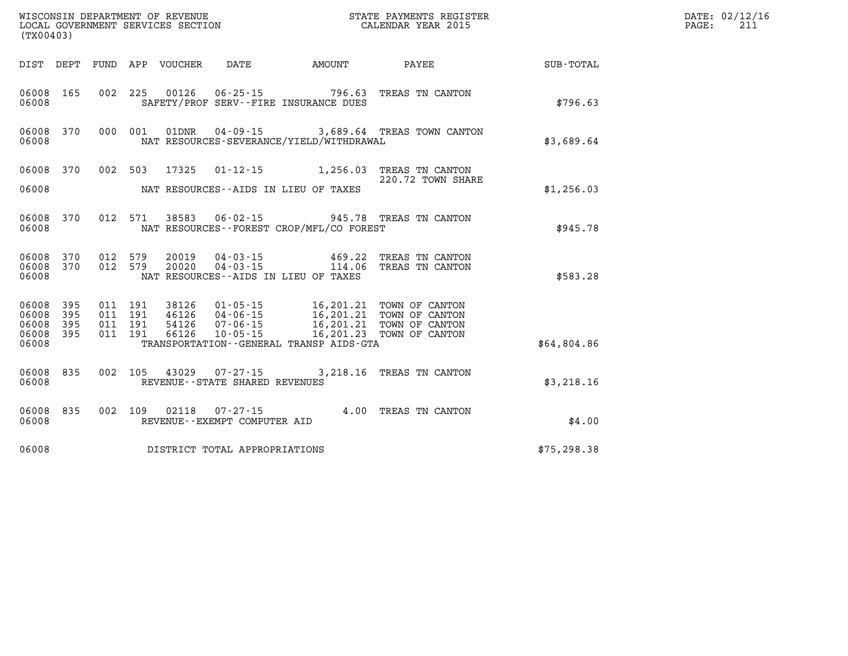| (TX00403)                                 |                          |                                          | WISCONSIN DEPARTMENT OF REVENUE<br>LOCAL GOVERNMENT SERVICES SECTION |                                          | STATE PAYMENTS REGISTER<br>CALENDAR YEAR 2015                                                                                                                               |                                                        | DATE: 02/12/16<br>211<br>PAGE: |  |
|-------------------------------------------|--------------------------|------------------------------------------|----------------------------------------------------------------------|------------------------------------------|-----------------------------------------------------------------------------------------------------------------------------------------------------------------------------|--------------------------------------------------------|--------------------------------|--|
|                                           |                          |                                          | DIST DEPT FUND APP VOUCHER                                           | DATE                                     | AMOUNT                                                                                                                                                                      | <b>PAYEE</b> FOR THE PAYEE                             | <b>SUB-TOTAL</b>               |  |
| 06008                                     | 06008 165                |                                          |                                                                      |                                          | 002 225 00126 06-25-15 796.63<br>SAFETY/PROF SERV--FIRE INSURANCE DUES                                                                                                      | TREAS TN CANTON                                        | \$796.63                       |  |
| 06008                                     | 06008 370                | 000 001                                  |                                                                      |                                          | NAT RESOURCES-SEVERANCE/YIELD/WITHDRAWAL                                                                                                                                    | 01DNR  04-09-15  3,689.64 TREAS TOWN CANTON            | \$3,689.64                     |  |
| 06008                                     |                          |                                          | 06008 370 002 503 17325                                              |                                          | NAT RESOURCES--AIDS IN LIEU OF TAXES                                                                                                                                        | 01-12-15 1,256.03 TREAS TN CANTON<br>220.72 TOWN SHARE | \$1,256.03                     |  |
| 06008                                     | 06008 370                |                                          | 012 571 38583                                                        |                                          | NAT RESOURCES - - FOREST CROP/MFL/CO FOREST                                                                                                                                 | 06-02-15 945.78 TREAS TN CANTON                        | \$945.78                       |  |
| 06008                                     | 06008 370<br>06008 370   | 012 579<br>012 579                       | 20019<br>20020                                                       |                                          | $04 - 03 - 15$ 469.22<br>NAT RESOURCES--AIDS IN LIEU OF TAXES                                                                                                               | TREAS TN CANTON<br>04-03-15 114.06 TREAS TN CANTON     | \$583.28                       |  |
| 06008<br>06008<br>06008<br>06008<br>06008 | 395<br>395<br>395<br>395 | 011 191<br>011 191<br>011 191<br>011 191 | 38126<br>66126                                                       |                                          | 01-05-15 16,201.21 TOWN OF CANTON<br>46126  04-06-15  16,201.21  TOWN OF CANTON<br>54126  07-06-15  16,201.21  TOWN OF CANTON<br>TRANSPORTATION - - GENERAL TRANSP AIDS-GTA |                                                        | \$64,804.86                    |  |
| 06008                                     | 06008 835                |                                          |                                                                      | REVENUE - - STATE SHARED REVENUES        |                                                                                                                                                                             | 002 105 43029 07-27-15 3,218.16 TREAS TN CANTON        | \$3,218.16                     |  |
| 06008                                     | 06008 835                | 002 109                                  | 02118                                                                | 07-27-15<br>REVENUE--EXEMPT COMPUTER AID |                                                                                                                                                                             | 4.00 TREAS TN CANTON                                   | \$4.00                         |  |
| 06008                                     |                          |                                          |                                                                      | DISTRICT TOTAL APPROPRIATIONS            |                                                                                                                                                                             |                                                        | \$75, 298.38                   |  |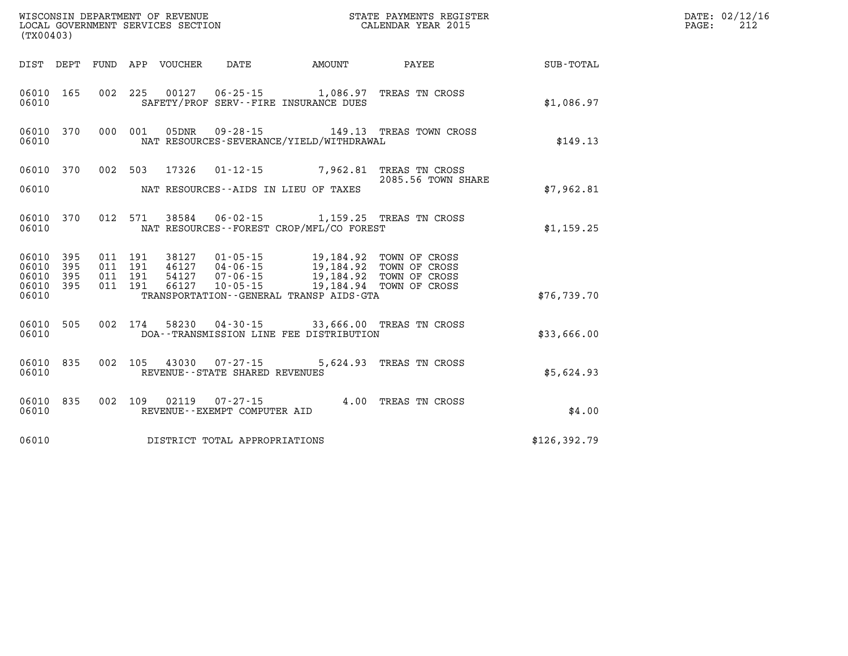| (TX00403)              |           |                    |         |       | WISCONSIN DEPARTMENT OF REVENUE<br>LOCAL GOVERNMENT SERVICES SECTION<br>(TYOO402) |                                                                                                    | STATE PAYMENTS REGISTER<br>CALENDAR YEAR 2015 |               | DATE: 02/12/16<br>PAGE:<br>212 |
|------------------------|-----------|--------------------|---------|-------|-----------------------------------------------------------------------------------|----------------------------------------------------------------------------------------------------|-----------------------------------------------|---------------|--------------------------------|
|                        |           |                    |         |       |                                                                                   | DIST DEPT FUND APP VOUCHER DATE AMOUNT                                                             | <b>PAYEE</b> PAYEE                            | SUB-TOTAL     |                                |
| 06010 165<br>06010     |           |                    |         |       |                                                                                   | 002 225 00127 06-25-15 1,086.97 TREAS TN CROSS<br>SAFETY/PROF SERV--FIRE INSURANCE DUES            |                                               | \$1,086.97    |                                |
| 06010                  | 06010 370 |                    | 000 001 | 05DNR |                                                                                   | NAT RESOURCES-SEVERANCE/YIELD/WITHDRAWAL                                                           | 09-28-15 149.13 TREAS TOWN CROSS              | \$149.13      |                                |
|                        |           |                    |         |       |                                                                                   | 06010 370 002 503 17326 01-12-15 7,962.81 TREAS TN CROSS                                           | 2085.56 TOWN SHARE                            |               |                                |
| 06010                  |           |                    |         |       |                                                                                   | NAT RESOURCES--AIDS IN LIEU OF TAXES                                                               |                                               | \$7,962.81    |                                |
| 06010                  | 06010 370 |                    |         |       |                                                                                   | 012 571 38584 06-02-15 1,159.25 TREAS TN CROSS<br>NAT RESOURCES - - FOREST CROP/MFL/CO FOREST      |                                               | \$1,159.25    |                                |
| 06010 395<br>06010 395 |           | 011 191<br>011 191 |         |       |                                                                                   | 38127  01-05-15  19,184.92  TOWN OF CROSS<br>46127  04-06-15  19,184.92  TOWN OF CROSS             |                                               |               |                                |
| 06010 395<br>06010 395 |           | 011 191<br>011 191 |         |       |                                                                                   | 40127 07-06-15<br>54127 07-06-15 19,184.92 TOWN OF CROSS<br>66127 10-05-15 19,184.94 TOWN OF CROSS |                                               |               |                                |
| 06010                  |           |                    |         |       |                                                                                   | TRANSPORTATION--GENERAL TRANSP AIDS-GTA                                                            |                                               | \$76, 739.70  |                                |
| 06010 505<br>06010     |           |                    |         |       |                                                                                   | 002 174 58230 04-30-15 33,666.00 TREAS TN CROSS<br>DOA--TRANSMISSION LINE FEE DISTRIBUTION         |                                               | \$33,666.00   |                                |
| 06010                  | 06010 835 |                    |         |       | 002 105 43030 07-27-15<br>REVENUE--STATE SHARED REVENUES                          |                                                                                                    | 5,624.93 TREAS TN CROSS                       | \$5,624.93    |                                |
| 06010                  | 06010 835 |                    |         |       | REVENUE--EXEMPT COMPUTER AID                                                      | 002 109 02119 07-27-15 4.00 TREAS TN CROSS                                                         |                                               | \$4.00        |                                |
| 06010                  |           |                    |         |       | DISTRICT TOTAL APPROPRIATIONS                                                     |                                                                                                    |                                               | \$126, 392.79 |                                |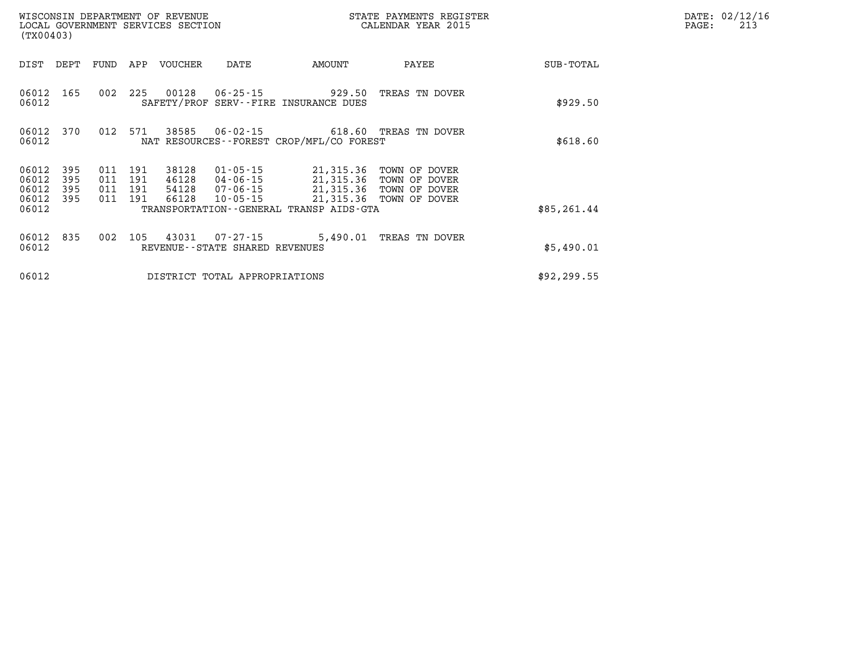| (TX00403)                                 |                          |                          |                          | WISCONSIN DEPARTMENT OF REVENUE<br>LOCAL GOVERNMENT SERVICES SECTION |                                                  |                                                                                                                          | STATE PAYMENTS REGISTER<br>CALENDAR YEAR 2015                    |              | DATE: 02/12/16<br>213<br>PAGE: |
|-------------------------------------------|--------------------------|--------------------------|--------------------------|----------------------------------------------------------------------|--------------------------------------------------|--------------------------------------------------------------------------------------------------------------------------|------------------------------------------------------------------|--------------|--------------------------------|
| DIST                                      | DEPT                     | FUND                     | APP                      | VOUCHER                                                              | DATE                                             | AMOUNT                                                                                                                   | PAYEE                                                            | SUB-TOTAL    |                                |
| 06012<br>06012                            | 165                      | 002                      | 225                      | 00128                                                                |                                                  | $06 - 25 - 15$ 929.50<br>SAFETY/PROF SERV--FIRE INSURANCE DUES                                                           | TREAS TN DOVER                                                   | \$929.50     |                                |
| 06012 370<br>06012                        |                          | 012 571                  |                          | 38585                                                                |                                                  | 06-02-15 618.60 TREAS TN DOVER<br>NAT RESOURCES--FOREST CROP/MFL/CO FOREST                                               |                                                                  | \$618.60     |                                |
| 06012<br>06012<br>06012<br>06012<br>06012 | 395<br>395<br>395<br>395 | 011<br>011<br>011<br>011 | 191<br>191<br>191<br>191 | 38128<br>46128<br>54128<br>66128                                     | 01-05-15<br>10-05-15                             | 21,315.36<br>04 - 06 - 15 21, 315. 36<br>07-06-15 21,315.36<br>21,315.36<br>TRANSPORTATION - - GENERAL TRANSP AIDS - GTA | TOWN OF DOVER<br>TOWN OF DOVER<br>TOWN OF DOVER<br>TOWN OF DOVER | \$85, 261.44 |                                |
| 06012 835<br>06012                        |                          | 002                      | 105                      | 43031                                                                | $07 - 27 - 15$<br>REVENUE--STATE SHARED REVENUES | 5,490.01                                                                                                                 | TREAS TN DOVER                                                   | \$5,490.01   |                                |
| 06012                                     |                          |                          |                          |                                                                      | DISTRICT TOTAL APPROPRIATIONS                    |                                                                                                                          |                                                                  | \$92, 299.55 |                                |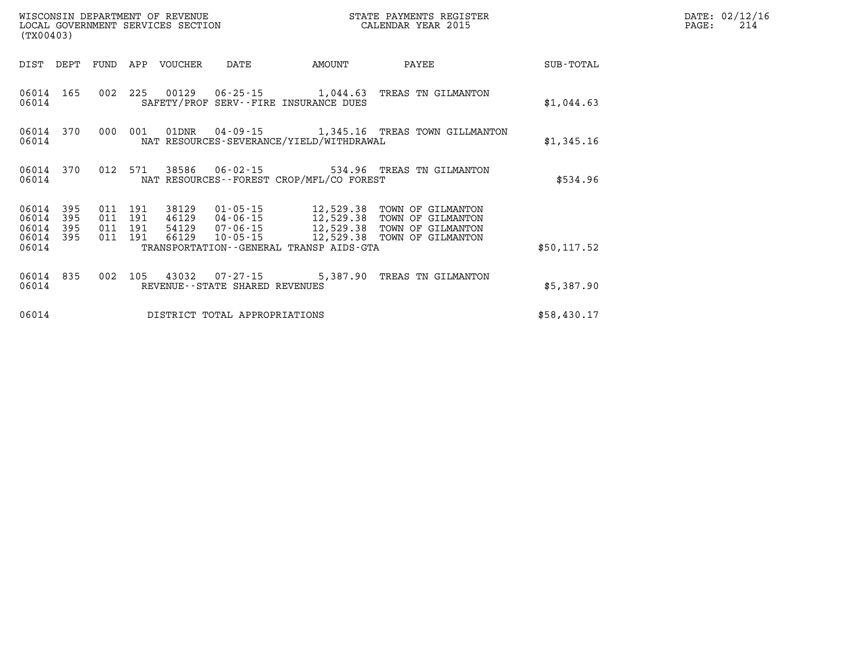| WISCONSIN DEPARTMENT OF REVENUE<br>LOCAL GOVERNMENT SERVICES SECTION<br>(TX00403) |                          |                          |                          |                |                                                          |                                                  |                                                                                  |                  |
|-----------------------------------------------------------------------------------|--------------------------|--------------------------|--------------------------|----------------|----------------------------------------------------------|--------------------------------------------------|----------------------------------------------------------------------------------|------------------|
| DIST                                                                              | DEPT                     | FUND                     | APP                      | <b>VOUCHER</b> | DATE                                                     | AMOUNT                                           | PAYEE                                                                            | <b>SUB-TOTAL</b> |
| 06014<br>06014                                                                    | 165                      | 002                      | 225                      |                |                                                          | SAFETY/PROF SERV--FIRE INSURANCE DUES            | 00129  06-25-15  1,044.63  TREAS TN GILMANTON                                    | \$1,044.63       |
| 06014<br>06014                                                                    | 370                      | 000                      | 001                      | 01DNR          |                                                          | NAT RESOURCES-SEVERANCE/YIELD/WITHDRAWAL         | 04-09-15 1,345.16 TREAS TOWN GILLMANTON                                          | \$1,345.16       |
| 06014<br>06014                                                                    | 370                      | 012                      | 571                      | 38586          |                                                          | NAT RESOURCES - - FOREST CROP/MFL/CO FOREST      | 06-02-15 534.96 TREAS TN GILMANTON                                               | \$534.96         |
| 06014<br>06014<br>06014<br>06014                                                  | 395<br>395<br>395<br>395 | 011<br>011<br>011<br>011 | 191<br>191<br>191<br>191 | 38129<br>66129 | 01-05-15<br>46129 04-06-15<br>54129 07-06-15<br>10-05-15 | 12,529.38<br>12,529.38<br>12,529.38<br>12,529.38 | TOWN OF GILMANTON<br>TOWN OF GILMANTON<br>TOWN OF GILMANTON<br>TOWN OF GILMANTON |                  |
| 06014                                                                             |                          |                          |                          |                |                                                          | TRANSPORTATION--GENERAL TRANSP AIDS-GTA          |                                                                                  | \$50, 117.52     |
| 06014<br>06014                                                                    | 835                      | 002                      | 105                      |                | 43032 07-27-15<br>REVENUE--STATE SHARED REVENUES         |                                                  | 5,387.90 TREAS TN GILMANTON                                                      | \$5,387.90       |
| 06014                                                                             |                          |                          |                          |                | DISTRICT TOTAL APPROPRIATIONS                            |                                                  |                                                                                  | \$58,430.17      |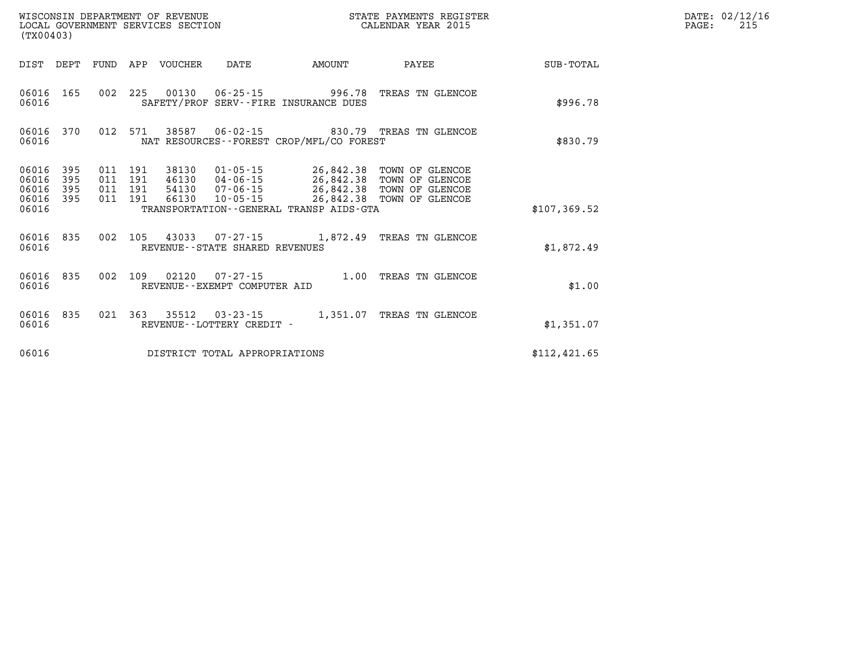| (TX00403)                                 |                          |                          |                          | WISCONSIN DEPARTMENT OF REVENUE<br>LOCAL GOVERNMENT SERVICES SECTION |                                                     | STATE PAYMENTS REGISTER<br>CALENDAR YEAR 2015                                               |                                                                          |                  |  |
|-------------------------------------------|--------------------------|--------------------------|--------------------------|----------------------------------------------------------------------|-----------------------------------------------------|---------------------------------------------------------------------------------------------|--------------------------------------------------------------------------|------------------|--|
| DIST                                      | DEPT                     | FUND                     | APP                      | <b>VOUCHER</b>                                                       | <b>DATE</b>                                         | <b>AMOUNT</b>                                                                               | PAYEE                                                                    | <b>SUB-TOTAL</b> |  |
| 06016<br>06016                            | 165                      | 002                      | 225                      | 00130                                                                | 06-25-15                                            | 996.78<br>SAFETY/PROF SERV--FIRE INSURANCE DUES                                             | TREAS TN GLENCOE                                                         | \$996.78         |  |
| 06016<br>06016                            | 370                      | 012                      | 571                      | 38587                                                                | $06 - 02 - 15$                                      | NAT RESOURCES--FOREST CROP/MFL/CO FOREST                                                    | 830.79 TREAS TN GLENCOE                                                  | \$830.79         |  |
| 06016<br>06016<br>06016<br>06016<br>06016 | 395<br>395<br>395<br>395 | 011<br>011<br>011<br>011 | 191<br>191<br>191<br>191 | 38130<br>46130<br>54130<br>66130                                     | 01-05-15<br>04-06-15<br>07-06-15<br>$10 - 05 - 15$  | 26,842.38<br>26,842.38<br>26,842.38<br>26,842.38<br>TRANSPORTATION--GENERAL TRANSP AIDS-GTA | TOWN OF GLENCOE<br>TOWN OF GLENCOE<br>TOWN OF GLENCOE<br>TOWN OF GLENCOE | \$107, 369.52    |  |
| 06016<br>06016                            | 835                      | 002                      | 105                      | 43033                                                                | $07 - 27 - 15$<br>REVENUE - - STATE SHARED REVENUES | 1,872.49                                                                                    | TREAS TN GLENCOE                                                         | \$1,872.49       |  |
| 06016<br>06016                            | 835                      | 002                      | 109                      | 02120                                                                | $07 - 27 - 15$<br>REVENUE--EXEMPT COMPUTER AID      | 1.00                                                                                        | TREAS TN GLENCOE                                                         | \$1.00           |  |
| 06016<br>06016                            | 835                      | 021                      | 363                      | 35512                                                                | $03 - 23 - 15$<br>REVENUE - - LOTTERY CREDIT -      | 1,351.07                                                                                    | TREAS TN GLENCOE                                                         | \$1,351.07       |  |
| 06016                                     |                          |                          |                          |                                                                      | DISTRICT TOTAL APPROPRIATIONS                       |                                                                                             |                                                                          | \$112, 421.65    |  |

**DATE: 02/12/16<br>PAGE: 215**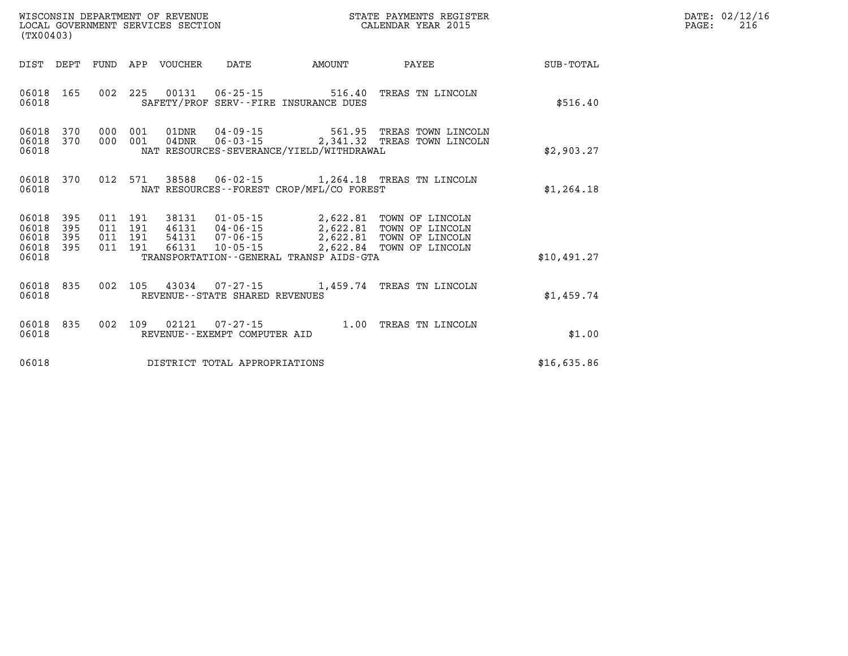| WISCONSIN DEPARTMENT OF REVENUE   | PAYMENTS REGISTER<br>3TATE | DATE | 02/12/16 |
|-----------------------------------|----------------------------|------|----------|
| LOCAL GOVERNMENT SERVICES SECTION | CALENDAR YEAR 2015         | PAGE | 216      |

| (TX00403)                   |                         |  | LOCAL GOVERNMENT SERVICES SECTION |                                |                                          | CALENDAR YEAR 2015                                                                                                                                                                                       |             | PAGE: | 216 |
|-----------------------------|-------------------------|--|-----------------------------------|--------------------------------|------------------------------------------|----------------------------------------------------------------------------------------------------------------------------------------------------------------------------------------------------------|-------------|-------|-----|
|                             |                         |  |                                   |                                |                                          |                                                                                                                                                                                                          |             |       |     |
| 06018                       |                         |  |                                   |                                | SAFETY/PROF SERV--FIRE INSURANCE DUES    | 06018 165 002 225 00131 06-25-15 516.40 TREAS TN LINCOLN                                                                                                                                                 | \$516.40    |       |     |
| 06018                       | 06018 370<br>06018 370  |  |                                   |                                | NAT RESOURCES-SEVERANCE/YIELD/WITHDRAWAL | 000 001 01DNR 04-09-15 561.95 TREAS TOWN LINCOLN<br>000 001 04DNR 06-03-15 2,341.32 TREAS TOWN LINCOLN                                                                                                   | \$2,903.27  |       |     |
| 06018                       |                         |  |                                   |                                | NAT RESOURCES--FOREST CROP/MFL/CO FOREST | 06018 370 012 571 38588 06-02-15 1,264.18 TREAS TN LINCOLN                                                                                                                                               | \$1,264.18  |       |     |
| 06018 395<br>06018<br>06018 | 395<br>395<br>06018 395 |  |                                   |                                |                                          | 011 191 38131 01-05-15 2,622.81 TOWN OF LINCOLN<br>011 191 46131 04-06-15 2,622.81 TOWN OF LINCOLN<br>011 191 54131 07-06-15 2,622.81 TOWN OF LINCOLN<br>011 191 66131 10-05-15 2,622.84 TOWN OF LINCOLN |             |       |     |
| 06018                       |                         |  |                                   |                                | TRANSPORTATION--GENERAL TRANSP AIDS-GTA  |                                                                                                                                                                                                          | \$10,491.27 |       |     |
| 06018                       | 06018 835               |  |                                   | REVENUE--STATE SHARED REVENUES |                                          | 002 105 43034 07-27-15 1,459.74 TREAS TN LINCOLN                                                                                                                                                         | \$1,459.74  |       |     |
| 06018                       | 06018 835               |  |                                   | REVENUE--EXEMPT COMPUTER AID   |                                          | 002 109 02121 07-27-15 1.00 TREAS TN LINCOLN                                                                                                                                                             | \$1.00      |       |     |
| 06018                       |                         |  |                                   | DISTRICT TOTAL APPROPRIATIONS  |                                          |                                                                                                                                                                                                          | \$16,635.86 |       |     |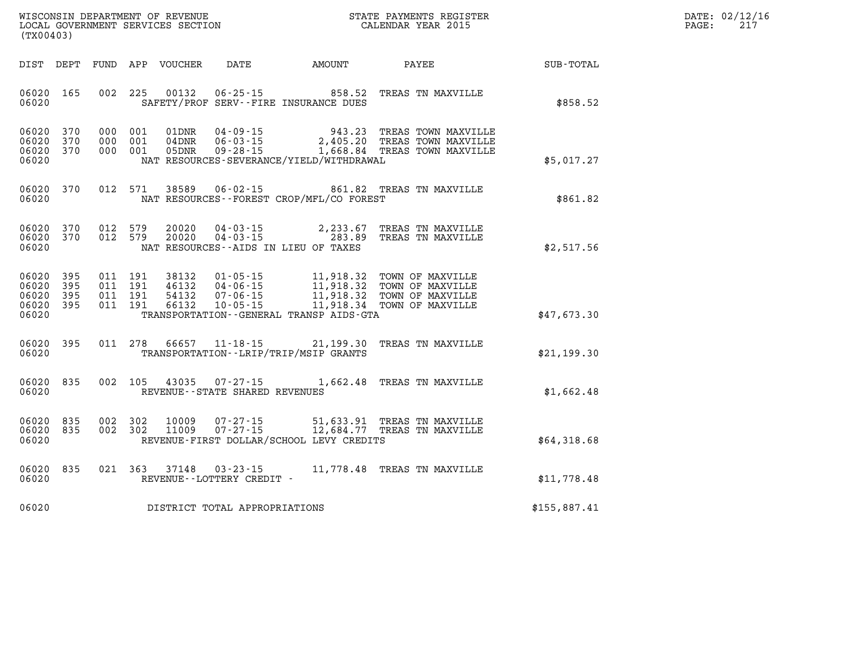| WISCONSIN DEPARTMENT OF REVENUE | PAYMENTS REGISTER<br>STATE | DATE | 02/12/16 |
|---------------------------------|----------------------------|------|----------|
| LOCAL                           |                            |      | --       |
| GOVERNMENT SERVICES SECTION     | CALENDAR YEAR 2015         | PAGE |          |

|                                           | (TX00403)                |                          |                          |                                  |                                                                      |                                                                                             |                                                                              |              |
|-------------------------------------------|--------------------------|--------------------------|--------------------------|----------------------------------|----------------------------------------------------------------------|---------------------------------------------------------------------------------------------|------------------------------------------------------------------------------|--------------|
| DIST                                      | DEPT                     | FUND                     | APP                      | VOUCHER                          | DATE                                                                 | AMOUNT                                                                                      | PAYEE                                                                        | SUB-TOTAL    |
| 06020<br>06020                            | 165                      | 002                      | 225                      | 00132                            | $06 - 25 - 15$                                                       | 858.52<br>SAFETY/PROF SERV--FIRE INSURANCE DUES                                             | TREAS TN MAXVILLE                                                            | \$858.52     |
| 06020<br>06020<br>06020<br>06020          | 370<br>370<br>370        | 000<br>000<br>000        | 001<br>001<br>001        | 01DNR<br>$04$ DNR<br>05DNR       | $04 - 09 - 15$<br>$06 - 03 - 15$<br>$09 - 28 - 15$                   | 943.23<br>2,405.20<br>NAT RESOURCES-SEVERANCE/YIELD/WITHDRAWAL                              | TREAS TOWN MAXVILLE<br>TREAS TOWN MAXVILLE<br>1,668.84 TREAS TOWN MAXVILLE   | \$5,017.27   |
| 06020<br>06020                            | 370                      | 012                      | 571                      | 38589                            | $06 - 02 - 15$                                                       | 861.82<br>NAT RESOURCES - - FOREST CROP/MFL/CO FOREST                                       | TREAS TN MAXVILLE                                                            | \$861.82     |
| 06020<br>06020<br>06020                   | 370<br>370               | 012<br>012               | 579<br>579               | 20020<br>20020                   | $04 - 03 - 15$<br>$04 - 03 - 15$                                     | 2,233.67<br>283.89<br>NAT RESOURCES--AIDS IN LIEU OF TAXES                                  | TREAS TN MAXVILLE<br>TREAS TN MAXVILLE                                       | \$2,517.56   |
| 06020<br>06020<br>06020<br>06020<br>06020 | 395<br>395<br>395<br>395 | 011<br>011<br>011<br>011 | 191<br>191<br>191<br>191 | 38132<br>46132<br>54132<br>66132 | $01 - 05 - 15$<br>$04 - 06 - 15$<br>$07 - 06 - 15$<br>$10 - 05 - 15$ | 11,918.32<br>11,918.32<br>11,918.32<br>11,918.34<br>TRANSPORTATION--GENERAL TRANSP AIDS-GTA | TOWN OF MAXVILLE<br>TOWN OF MAXVILLE<br>TOWN OF MAXVILLE<br>TOWN OF MAXVILLE | \$47,673.30  |
| 06020<br>06020                            | 395                      | 011                      | 278                      | 66657                            | $11 - 18 - 15$                                                       | 21,199.30<br>TRANSPORTATION - - LRIP/TRIP/MSIP GRANTS                                       | TREAS TN MAXVILLE                                                            | \$21,199.30  |
| 06020<br>06020                            | 835                      | 002                      | 105                      | 43035                            | $07 - 27 - 15$<br>REVENUE - - STATE SHARED REVENUES                  | 1,662.48                                                                                    | TREAS TN MAXVILLE                                                            | \$1,662.48   |
| 06020<br>06020<br>06020                   | 835<br>835               | 002<br>002               | 302<br>302               | 10009<br>11009                   | $07 - 27 - 15$<br>$07 - 27 - 15$                                     | 51,633.91<br>12,684.77<br>REVENUE-FIRST DOLLAR/SCHOOL LEVY CREDITS                          | TREAS TN MAXVILLE<br>TREAS TN MAXVILLE                                       | \$64,318.68  |
| 06020<br>06020                            | 835                      | 021                      | 363                      | 37148                            | $03 - 23 - 15$<br>REVENUE--LOTTERY CREDIT -                          | 11,778.48                                                                                   | TREAS TN MAXVILLE                                                            | \$11,778.48  |
| 06020                                     |                          |                          |                          |                                  | DISTRICT TOTAL APPROPRIATIONS                                        |                                                                                             |                                                                              | \$155,887.41 |

WISCONSIN DEPARTMENT OF REVENUE **STATE PAYMENTS REGISTER**<br>LOCAL GOVERNMENT SERVICES SECTION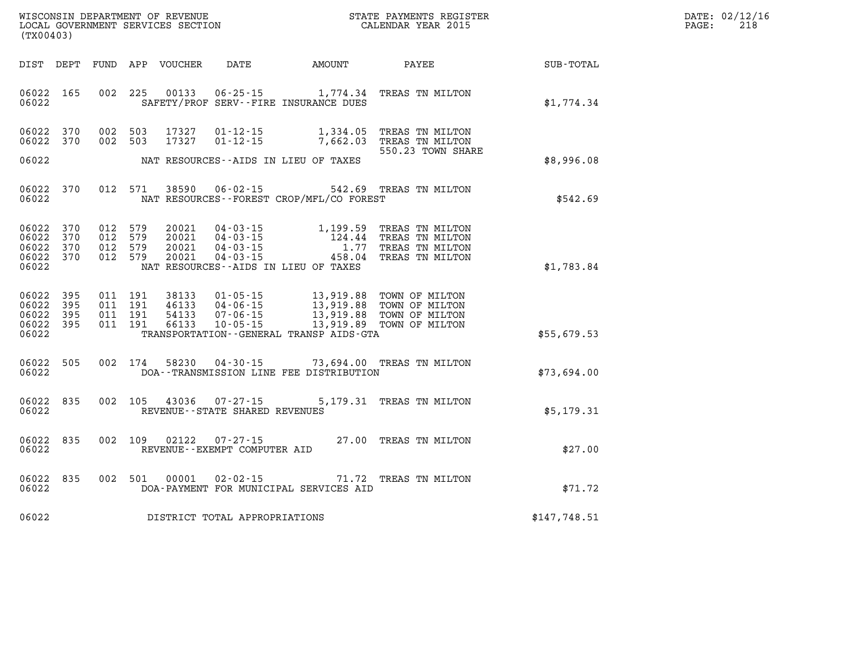| WISCONSIN DEPARTMENT OF REVENUE   | STATE PAYMENTS REGISTER | DATE: 02/12/16 |
|-----------------------------------|-------------------------|----------------|
| LOCAL GOVERNMENT SERVICES SECTION | CALENDAR YEAR 2015      | 218<br>PAGE:   |

| (TX00403)                                                 |     |                                          | LOCAL GOVERNMENT SERVICES SECTION |                                   |                                              | CALENDAR YEAR 2015                                                                                                                               |              | PAGE: | 218 |
|-----------------------------------------------------------|-----|------------------------------------------|-----------------------------------|-----------------------------------|----------------------------------------------|--------------------------------------------------------------------------------------------------------------------------------------------------|--------------|-------|-----|
|                                                           |     |                                          | DIST DEPT FUND APP VOUCHER        | <b>DATE</b>                       |                                              | AMOUNT PAYEE                                                                                                                                     | SUB-TOTAL    |       |     |
| 06022 165<br>06022                                        |     | 002 225                                  | 00133                             |                                   | SAFETY/PROF SERV--FIRE INSURANCE DUES        | 06-25-15 1,774.34 TREAS TN MILTON                                                                                                                | \$1,774.34   |       |     |
| 06022 370<br>06022 370                                    |     | 002 503<br>002 503                       | 17327<br>17327                    |                                   |                                              | 01-12-15 1,334.05 TREAS TN MILTON<br>01-12-15 7,662.03 TREAS TN MILTON<br>550.23 TOWN SHARE                                                      |              |       |     |
| 06022                                                     |     |                                          |                                   |                                   | NAT RESOURCES--AIDS IN LIEU OF TAXES         |                                                                                                                                                  | \$8,996.08   |       |     |
| 06022 370<br>06022                                        |     | 012 571                                  | 38590                             |                                   | NAT RESOURCES--FOREST CROP/MFL/CO FOREST     | 06-02-15 542.69 TREAS TN MILTON                                                                                                                  | \$542.69     |       |     |
| 06022 370<br>06022 370<br>06022 370<br>06022 370<br>06022 |     | 012 579<br>012 579<br>012 579<br>012 579 | 20021<br>20021<br>20021<br>20021  |                                   | NAT RESOURCES--AIDS IN LIEU OF TAXES         | 04-03-15 1,199.59 TREAS TN MILTON<br>04-03-15 124.44 TREAS TN MILTON<br>04-03-15 1.77 TREAS TN MILTON<br>04-03-15 458.04 TREAS TN MILTON         | \$1,783.84   |       |     |
| 06022<br>06022 395<br>06022 395<br>06022 395<br>06022     | 395 | 011 191<br>011 191<br>011 191<br>011 191 | 38133<br>46133<br>54133<br>66133  |                                   | TRANSPORTATION - - GENERAL TRANSP AIDS - GTA | 01-05-15 13,919.88 TOWN OF MILTON<br>04-06-15 13,919.88 TOWN OF MILTON<br>07-06-15 13,919.88 TOWN OF MILTON<br>10-05-15 13,919.89 TOWN OF MILTON | \$55,679.53  |       |     |
| 06022 505<br>06022                                        |     | 002 174                                  |                                   |                                   | DOA--TRANSMISSION LINE FEE DISTRIBUTION      | 58230  04-30-15  73,694.00  TREAS TN MILTON                                                                                                      | \$73,694.00  |       |     |
| 06022 835<br>06022                                        |     |                                          |                                   | REVENUE - - STATE SHARED REVENUES |                                              | 002 105 43036 07-27-15 5,179.31 TREAS TN MILTON                                                                                                  | \$5,179.31   |       |     |
| 06022 835<br>06022                                        |     | 002 109                                  | 02122                             | REVENUE--EXEMPT COMPUTER AID      |                                              | 07-27-15 27.00 TREAS TN MILTON                                                                                                                   | \$27.00      |       |     |
| 06022 835<br>06022                                        |     | 002 501                                  | 00001                             | $02 - 02 - 15$                    | DOA-PAYMENT FOR MUNICIPAL SERVICES AID       | 71.72 TREAS TN MILTON                                                                                                                            | \$71.72      |       |     |
| 06022                                                     |     |                                          |                                   | DISTRICT TOTAL APPROPRIATIONS     |                                              |                                                                                                                                                  | \$147,748.51 |       |     |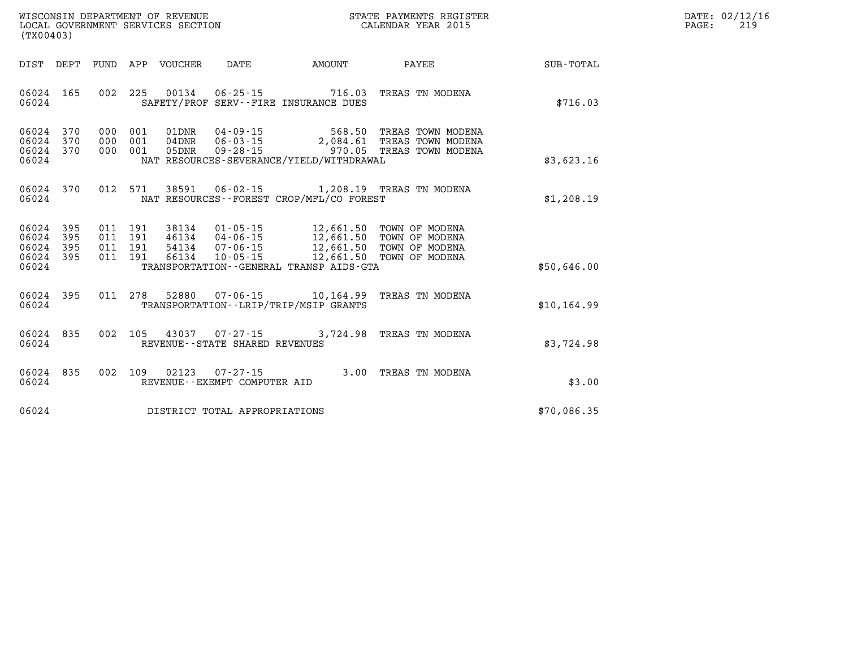| DATE:             | 02/12/16 |
|-------------------|----------|
| $\mathtt{PAGE}$ : | 219      |

| (TX00403)                                 |                          |                   | WISCONSIN DEPARTMENT OF REVENUE<br>LOCAL GOVERNMENT SERVICES SECTION |                                  |                                                                | STATE PAYMENTS REGISTER<br>CALENDAR YEAR 2015                                    |  |                                                                                                    |              |
|-------------------------------------------|--------------------------|-------------------|----------------------------------------------------------------------|----------------------------------|----------------------------------------------------------------|----------------------------------------------------------------------------------|--|----------------------------------------------------------------------------------------------------|--------------|
| DIST                                      | DEPT                     | FUND              | APP VOUCHER                                                          |                                  | DATE                                                           | AMOUNT                                                                           |  | PAYEE                                                                                              | SUB-TOTAL    |
| 06024<br>06024                            | 165                      | 002               | 225                                                                  | 00134                            |                                                                | 06-25-15 716.03<br>SAFETY/PROF SERV--FIRE INSURANCE DUES                         |  | TREAS TN MODENA                                                                                    | \$716.03     |
| 06024<br>06024<br>06024<br>06024          | 370<br>370<br>370        | 000<br>000<br>000 | 001<br>001<br>001                                                    | 01DNR<br>$04\rm{DNR}$<br>05DNR   | $04 - 09 - 15$<br>$06 - 03 - 15$<br>$09 - 28 - 15$             | NAT RESOURCES-SEVERANCE/YIELD/WITHDRAWAL                                         |  | 568.50 TREAS TOWN MODENA<br>2,084.61 TREAS TOWN MODENA<br>970.05 TREAS TOWN MODENA                 | \$3,623.16   |
| 06024<br>06024                            | 370                      | 012               | 571                                                                  | 38591                            |                                                                | 06-02-15 1,208.19 TREAS TN MODENA<br>NAT RESOURCES - - FOREST CROP/MFL/CO FOREST |  |                                                                                                    | \$1,208.19   |
| 06024<br>06024<br>06024<br>06024<br>06024 | 395<br>395<br>395<br>395 | 011<br>011<br>011 | 011 191<br>191<br>191<br>191                                         | 38134<br>46134<br>54134<br>66134 | $01 - 05 - 15$<br>04-06-15<br>$07 - 06 - 15$<br>$10 - 05 - 15$ | 12,661.50<br>TRANSPORTATION - - GENERAL TRANSP AIDS - GTA                        |  | 12,661.50 TOWN OF MODENA<br>12,661.50 TOWN OF MODENA<br>12,661.50 TOWN OF MODENA<br>TOWN OF MODENA | \$50,646.00  |
| 06024<br>06024                            | 395                      | 011               | 278                                                                  | 52880                            | $07 - 06 - 15$                                                 | 10,164.99<br>TRANSPORTATION - - LRIP/TRIP/MSIP GRANTS                            |  | TREAS TN MODENA                                                                                    | \$10, 164.99 |
| 06024<br>06024                            | 835                      | 002               | 105                                                                  |                                  | 43037 07-27-15<br>REVENUE - - STATE SHARED REVENUES            | 3,724.98                                                                         |  | TREAS TN MODENA                                                                                    | \$3,724.98   |
| 06024<br>06024                            | 835                      | 002               | 109                                                                  | 02123                            | $07 - 27 - 15$<br>REVENUE--EXEMPT COMPUTER AID                 |                                                                                  |  | 3.00 TREAS TN MODENA                                                                               | \$3.00       |
| 06024                                     |                          |                   |                                                                      |                                  | DISTRICT TOTAL APPROPRIATIONS                                  |                                                                                  |  |                                                                                                    | \$70,086.35  |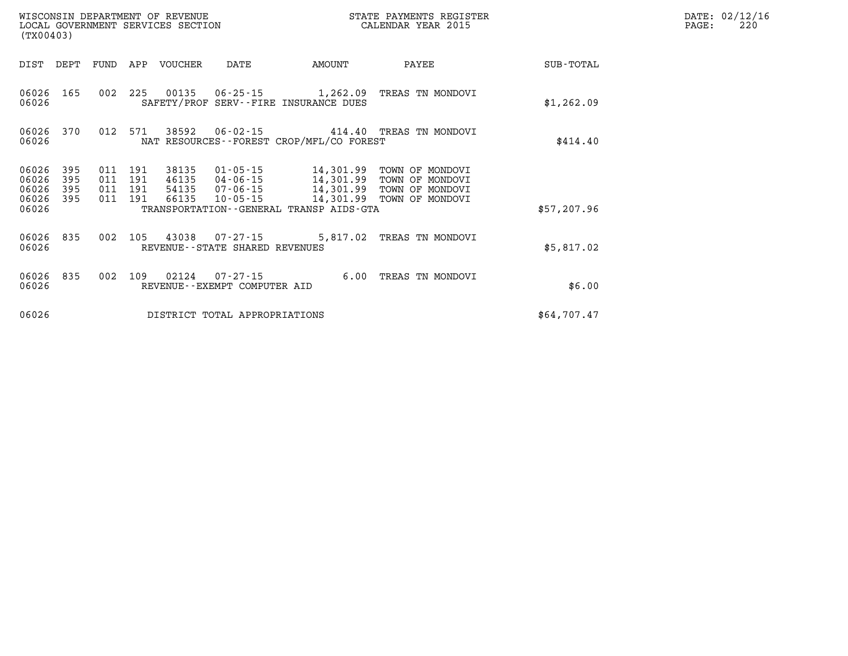| (TX00403)      |            |            |            | WISCONSIN DEPARTMENT OF REVENUE<br>LOCAL GOVERNMENT SERVICES SECTION |                                                   |                                                       | STATE PAYMENTS REGISTER<br>CALENDAR YEAR 2015 |                  |
|----------------|------------|------------|------------|----------------------------------------------------------------------|---------------------------------------------------|-------------------------------------------------------|-----------------------------------------------|------------------|
| DIST           | DEPT       | FUND       | APP        | <b>VOUCHER</b>                                                       | DATE                                              | <b>AMOUNT</b>                                         | PAYEE                                         | <b>SUB-TOTAL</b> |
| 06026<br>06026 | 165        | 002        | 225        | 00135                                                                | $06 - 25 - 15$                                    | 1,262.09<br>SAFETY/PROF SERV--FIRE INSURANCE DUES     | TREAS TN MONDOVI                              | \$1,262.09       |
| 06026<br>06026 | 370        | 012        | 571        | 38592                                                                | $06 - 02 - 15$                                    | 414.40<br>NAT RESOURCES - - FOREST CROP/MFL/CO FOREST | TREAS TN MONDOVI                              | \$414.40         |
| 06026<br>06026 | 395<br>395 | 011<br>011 | 191<br>191 | 38135<br>46135                                                       | 01-05-15<br>04-06-15                              | 14,301.99<br>14,301.99                                | TOWN OF MONDOVI<br>TOWN OF MONDOVI            |                  |
| 06026<br>06026 | 395<br>395 | 011<br>011 | 191<br>191 | 54135<br>66135                                                       | 07-06-15<br>$10 - 05 - 15$                        | 14,301.99<br>14,301.99                                | TOWN OF MONDOVI<br>TOWN OF MONDOVI            |                  |
| 06026          |            |            |            |                                                                      |                                                   | TRANSPORTATION--GENERAL TRANSP AIDS-GTA               |                                               | \$57,207.96      |
| 06026<br>06026 | 835        | 002        | 105        | 43038                                                                | $07 - 27 - 15$<br>REVENUE--STATE SHARED REVENUES  | 5,817.02                                              | TREAS TN MONDOVI                              | \$5,817.02       |
| 06026<br>06026 | 835        | 002        | 109        | 02124                                                                | $07 - 27 - 15$<br>REVENUE - - EXEMPT COMPUTER AID | 6.00                                                  | TREAS TN MONDOVI                              | \$6.00           |
| 06026          |            |            |            |                                                                      | DISTRICT TOTAL APPROPRIATIONS                     |                                                       |                                               | \$64,707.47      |

**DATE: 02/12/16<br>PAGE: 220**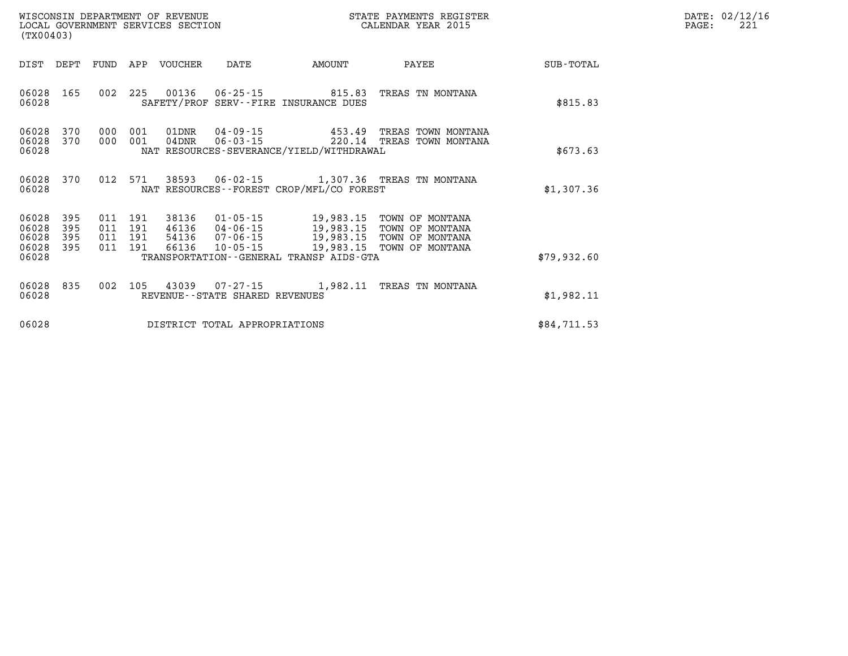| DATE: | 02/12/16 |
|-------|----------|
| PAGE: | 221      |

|                                           | WISCONSIN DEPARTMENT OF REVENUE<br>LOCAL GOVERNMENT SERVICES SECTION<br>(TX00403) |                          |                          |                                  |                                                                |                                                                                             | STATE PAYMENTS REGISTER<br>CALENDAR YEAR 2015                            |                  |
|-------------------------------------------|-----------------------------------------------------------------------------------|--------------------------|--------------------------|----------------------------------|----------------------------------------------------------------|---------------------------------------------------------------------------------------------|--------------------------------------------------------------------------|------------------|
| DIST                                      | DEPT                                                                              | FUND                     | APP                      | VOUCHER                          | DATE                                                           | AMOUNT                                                                                      | PAYEE                                                                    | <b>SUB-TOTAL</b> |
| 06028<br>06028                            | 165                                                                               | 002                      | 225                      | 00136                            | $06 - 25 - 15$<br>SAFETY/PROF SERV--FIRE INSURANCE DUES        | 815.83                                                                                      | TREAS TN MONTANA                                                         | \$815.83         |
| 06028<br>06028<br>06028                   | 370<br>370                                                                        | 000<br>000               | 001<br>001               | 01DNR<br>$04$ DNR                | $04 - 09 - 15$<br>$06 - 03 - 15$                               | 453.49<br>220.14<br>NAT RESOURCES-SEVERANCE/YIELD/WITHDRAWAL                                | TREAS TOWN MONTANA<br>TREAS TOWN MONTANA                                 | \$673.63         |
| 06028<br>06028                            | 370                                                                               | 012                      | 571                      | 38593                            | $06 - 02 - 15$                                                 | NAT RESOURCES--FOREST CROP/MFL/CO FOREST                                                    | 1,307.36 TREAS TN MONTANA                                                | \$1,307.36       |
| 06028<br>06028<br>06028<br>06028<br>06028 | 395<br>395<br>395<br>395                                                          | 011<br>011<br>011<br>011 | 191<br>191<br>191<br>191 | 38136<br>46136<br>54136<br>66136 | $01 - 05 - 15$<br>04-06-15<br>$07 - 06 - 15$<br>$10 - 05 - 15$ | 19,983.15<br>19,983.15<br>19,983.15<br>19,983.15<br>TRANSPORTATION--GENERAL TRANSP AIDS-GTA | TOWN OF MONTANA<br>TOWN OF MONTANA<br>TOWN OF MONTANA<br>TOWN OF MONTANA | \$79,932.60      |
| 06028<br>06028                            | 835                                                                               | 002                      | 105                      | 43039                            | REVENUE--STATE SHARED REVENUES                                 | $07 - 27 - 15$ 1,982.11                                                                     | TREAS TN MONTANA                                                         | \$1,982.11       |
| 06028                                     |                                                                                   |                          |                          |                                  | DISTRICT TOTAL APPROPRIATIONS                                  |                                                                                             |                                                                          | \$84,711.53      |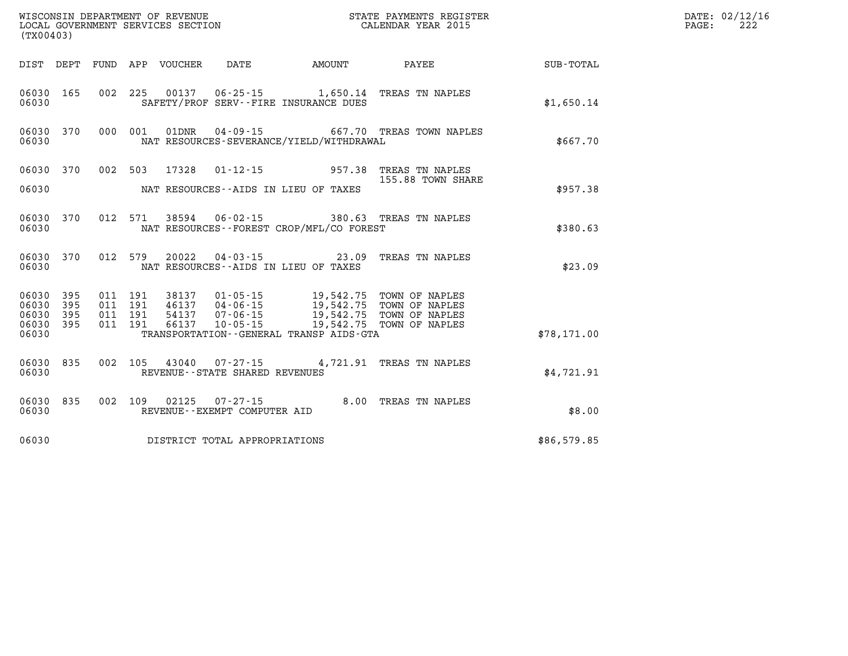|                        | WISCONSIN DEPARTMENT OF REVENUE<br>LOCAL GOVERNMENT SERVICES SECTION<br>LOCAL GOVERNMENT SERVICES SECTION<br>CALENDAR YEAR 2015<br>(TX00403) |  |  |  |                                |                                                                                                                                                                                                          |                                                                                |                                                    | DATE: 02/12/16<br>PAGE:<br>222 |
|------------------------|----------------------------------------------------------------------------------------------------------------------------------------------|--|--|--|--------------------------------|----------------------------------------------------------------------------------------------------------------------------------------------------------------------------------------------------------|--------------------------------------------------------------------------------|----------------------------------------------------|--------------------------------|
|                        |                                                                                                                                              |  |  |  |                                |                                                                                                                                                                                                          |                                                                                | DIST DEPT FUND APP VOUCHER DATE AMOUNT PAYEE TOTAL |                                |
| 06030                  |                                                                                                                                              |  |  |  |                                | SAFETY/PROF SERV--FIRE INSURANCE DUES                                                                                                                                                                    | 06030 165 002 225 00137 06-25-15 1,650.14 TREAS TN NAPLES                      | \$1,650.14                                         |                                |
| 06030                  |                                                                                                                                              |  |  |  |                                | NAT RESOURCES-SEVERANCE/YIELD/WITHDRAWAL                                                                                                                                                                 | 06030 370 000 001 01DNR 04-09-15 667.70 TREAS TOWN NAPLES                      | \$667.70                                           |                                |
|                        |                                                                                                                                              |  |  |  |                                |                                                                                                                                                                                                          | 06030 370 002 503 17328 01-12-15 957.38 TREAS TN NAPLES<br>155.88 TOWN SHARE   |                                                    |                                |
|                        |                                                                                                                                              |  |  |  |                                | 06030 MAT RESOURCES--AIDS IN LIEU OF TAXES                                                                                                                                                               |                                                                                | \$957.38                                           |                                |
| 06030                  | 06030 370                                                                                                                                    |  |  |  |                                | NAT RESOURCES--FOREST CROP/MFL/CO FOREST                                                                                                                                                                 | 012 571 38594 06-02-15 380.63 TREAS TN NAPLES                                  | \$380.63                                           |                                |
| 06030                  |                                                                                                                                              |  |  |  |                                | NAT RESOURCES--AIDS IN LIEU OF TAXES                                                                                                                                                                     | 06030 370 012 579 20022 04-03-15 23.09 TREAS TN NAPLES                         | \$23.09                                            |                                |
| 06030 395<br>06030 395 |                                                                                                                                              |  |  |  |                                |                                                                                                                                                                                                          |                                                                                |                                                    |                                |
| 06030 395              | 06030 395                                                                                                                                    |  |  |  |                                | 011 191 38137 01-05-15 19,542.75 TOWN OF NAPLES<br>011 191 46137 04-06-15 19,542.75 TOWN OF NAPLES<br>011 191 54137 07-06-15 19,542.75 TOWN OF NAPLES<br>011 191 66137 10-05-15 19,542.75 TOWN OF NAPLES |                                                                                |                                                    |                                |
| 06030                  |                                                                                                                                              |  |  |  |                                | TRANSPORTATION - - GENERAL TRANSP AIDS-GTA                                                                                                                                                               |                                                                                | \$78,171.00                                        |                                |
| 06030                  | 06030 835                                                                                                                                    |  |  |  | REVENUE--STATE SHARED REVENUES |                                                                                                                                                                                                          | 002 105 43040 07-27-15 4,721.91 TREAS TN NAPLES                                | \$4.721.91                                         |                                |
| 06030                  | 06030 835                                                                                                                                    |  |  |  | REVENUE--EXEMPT COMPUTER AID   |                                                                                                                                                                                                          | 002 $109$ 02125 07-27-15 8.00 TREAS TN NAPLES<br>REVENIJE--EXEMPT COMPITER ATD | \$8.00                                             |                                |
| 06030                  |                                                                                                                                              |  |  |  | DISTRICT TOTAL APPROPRIATIONS  |                                                                                                                                                                                                          |                                                                                | \$86,579.85                                        |                                |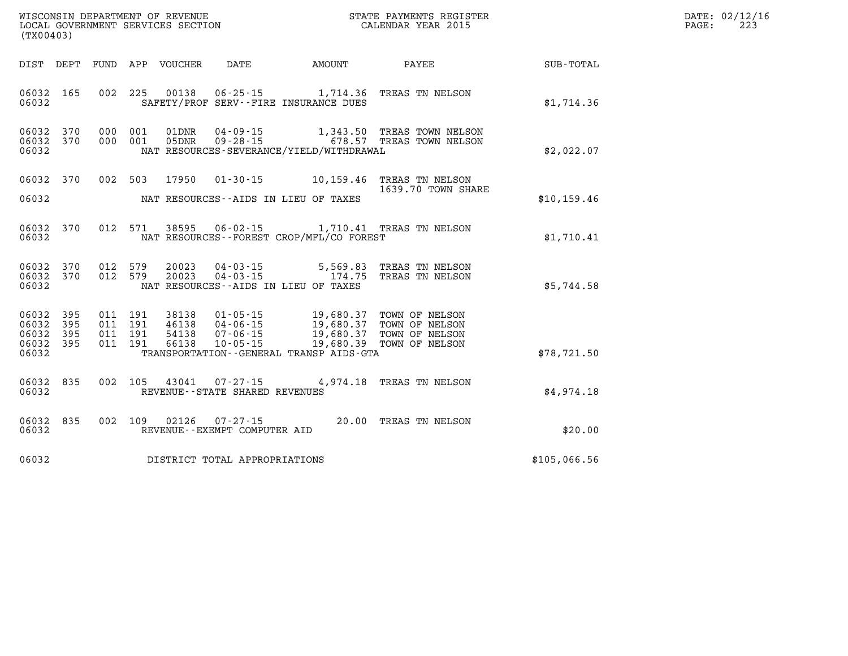| WISCONSIN DEPARTMENT OF REVENUE   | STATE PAYMENTS REGISTER | DATE: | : 02/12/16    |
|-----------------------------------|-------------------------|-------|---------------|
| LOCAL GOVERNMENT SERVICES SECTION |                         |       | $\sim$ $\sim$ |
|                                   | CALENDAR YEAR 2015      | PAGE  | 44.           |

| (TX00403)                                                    | LOCAL GOVERNMENT SERVICES SECTION                                                                                                                     | CALENDAR YEAR 2015 |              | PAGE: | 223 |
|--------------------------------------------------------------|-------------------------------------------------------------------------------------------------------------------------------------------------------|--------------------|--------------|-------|-----|
|                                                              |                                                                                                                                                       |                    |              |       |     |
|                                                              | DIST DEPT FUND APP VOUCHER DATE AMOUNT PAYEE PATE SUB-TOTAL                                                                                           |                    |              |       |     |
| 06032 165<br>06032                                           | 002 225 00138 06-25-15 1,714.36 TREAS TN NELSON<br>SAFETY/PROF SERV--FIRE INSURANCE DUES                                                              |                    | \$1,714.36   |       |     |
| 06032 370<br>06032 370<br>06032                              | 000 001 01DNR 04-09-15 1,343.50 TREAS TOWN NELSON<br>000 001 05DNR 09-28-15 678.57 TREAS TOWN NELSON<br>NAT RESOURCES-SEVERANCE/YIELD/WITHDRAWAL      |                    | \$2,022.07   |       |     |
| 06032 370<br>06032                                           | 002 503 17950 01-30-15 10,159.46 TREAS TN NELSON<br>NAT RESOURCES--AIDS IN LIEU OF TAXES                                                              | 1639.70 TOWN SHARE | \$10, 159.46 |       |     |
| 06032 370<br>06032                                           | 012 571 38595 06-02-15 1,710.41 TREAS TN NELSON<br>NAT RESOURCES--FOREST CROP/MFL/CO FOREST                                                           |                    | \$1,710.41   |       |     |
| 06032 370<br>06032 370<br>06032                              | 20023  04-03-15  5,569.83  TREAS TN NELSON<br>20023  04-03-15   174.75  TREAS TN NELSON<br>012 579<br>012 579<br>NAT RESOURCES--AIDS IN LIEU OF TAXES |                    | \$5,744.58   |       |     |
| 06032 395<br>06032<br>395<br>06032 395<br>06032 395<br>06032 | TRANSPORTATION--GENERAL TRANSP AIDS-GTA                                                                                                               |                    | \$78, 721.50 |       |     |
| 06032 835<br>06032                                           | 002 105 43041 07-27-15 4,974.18 TREAS TN NELSON<br>REVENUE--STATE SHARED REVENUES                                                                     |                    | \$4,974.18   |       |     |
| 06032 835<br>06032                                           | 002 109 02126 07-27-15 20.00 TREAS TN NELSON<br>REVENUE--EXEMPT COMPUTER AID                                                                          |                    | \$20.00      |       |     |
|                                                              | 06032 DISTRICT TOTAL APPROPRIATIONS                                                                                                                   |                    | \$105,066.56 |       |     |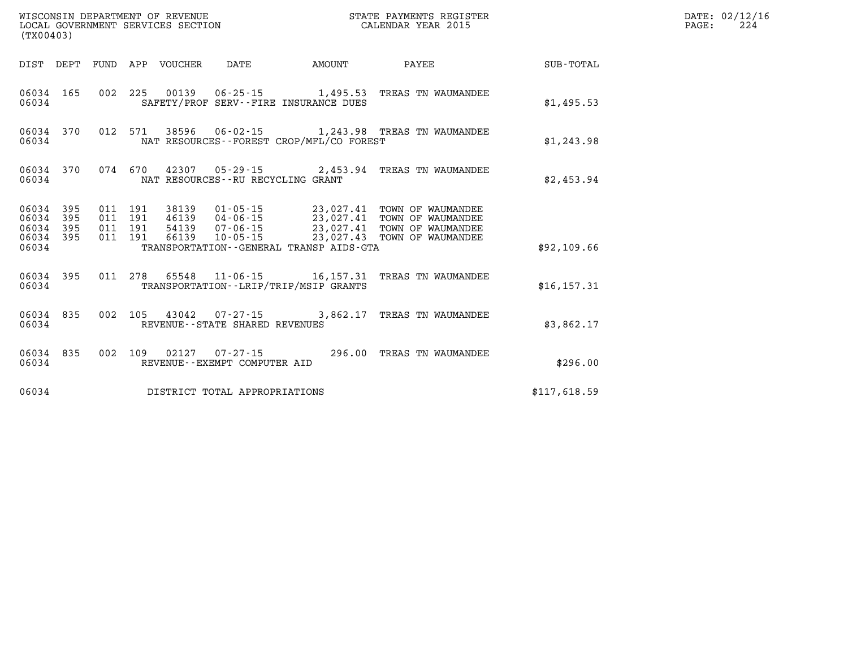| (TX00403) |                    |       |                                 | WISCONSIN DEPARTMENT OF REVENUE<br>LOCAL GOVERNMENT SERVICES SECTION |                                          | STATE PAYMENTS REGISTER<br>CALENDAR YEAR 2015                                                                                                                                                                                                                                                                          |              | DATE: 02/12/16<br>224<br>$\mathtt{PAGE:}$ |
|-----------|--------------------|-------|---------------------------------|----------------------------------------------------------------------|------------------------------------------|------------------------------------------------------------------------------------------------------------------------------------------------------------------------------------------------------------------------------------------------------------------------------------------------------------------------|--------------|-------------------------------------------|
|           |                    |       | DIST DEPT FUND APP VOUCHER DATE |                                                                      | AMOUNT                                   | PAYEE                                                                                                                                                                                                                                                                                                                  | SUB-TOTAL    |                                           |
| 06034     |                    |       |                                 | SAFETY/PROF SERV--FIRE INSURANCE DUES                                |                                          | 06034 165 002 225 00139 06-25-15 1,495.53 TREAS TN WAUMANDEE                                                                                                                                                                                                                                                           | \$1,495.53   |                                           |
| 06034     |                    |       |                                 |                                                                      | NAT RESOURCES--FOREST CROP/MFL/CO FOREST | 06034 370 012 571 38596 06-02-15 1,243.98 TREAS TN WAUMANDEE                                                                                                                                                                                                                                                           | \$1,243.98   |                                           |
|           | 06034 370<br>06034 |       |                                 | NAT RESOURCES - - RU RECYCLING GRANT                                 |                                          | 074 670 42307 05-29-15 2,453.94 TREAS TN WAUMANDEE                                                                                                                                                                                                                                                                     | \$2,453.94   |                                           |
| 06034     |                    |       |                                 |                                                                      | TRANSPORTATION--GENERAL TRANSP AIDS-GTA  | $\begin{array}{cccccccc} 06034 & 395 & 011 & 191 & 38139 & 01\cdot 05\cdot 15 & 23\, , 027\, .41 & \text{TOWN OF W\\ 195 & 011 & 191 & 46139 & 04\cdot 06\cdot 15 & 23\, , 027\, .41 & \text{TOWN OF W\\ 195 & 011 & 191 & 54139 & 07\cdot 06\cdot 15 & 23\, , 027\, .41 & \text{TOWN OF W\\ 196034 & 395 & 011 & 191$ | \$92,109.66  |                                           |
|           |                    |       |                                 |                                                                      |                                          |                                                                                                                                                                                                                                                                                                                        |              |                                           |
|           |                    | 06034 |                                 | TRANSPORTATION - - LRIP/TRIP/MSIP GRANTS                             |                                          | 06034 395 011 278 65548 11-06-15 16,157.31 TREAS TN WAUMANDEE                                                                                                                                                                                                                                                          | \$16, 157.31 |                                           |
|           | 06034 835<br>06034 |       |                                 | REVENUE--STATE SHARED REVENUES                                       |                                          | 002 105 43042 07-27-15 3,862.17 TREAS TN WAUMANDEE                                                                                                                                                                                                                                                                     | \$3,862.17   |                                           |
| 06034     | 06034 835          |       |                                 | REVENUE--EXEMPT COMPUTER AID                                         |                                          | 002 109 02127 07-27-15 296.00 TREAS TN WAUMANDEE                                                                                                                                                                                                                                                                       | \$296.00     |                                           |
| 06034     |                    |       |                                 | DISTRICT TOTAL APPROPRIATIONS                                        |                                          |                                                                                                                                                                                                                                                                                                                        | \$117,618.59 |                                           |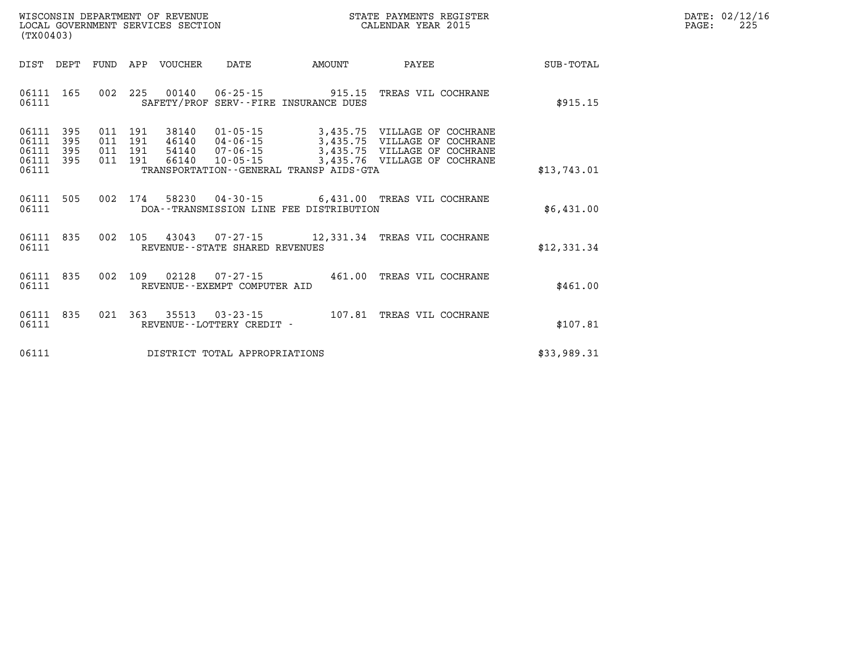| WISCONSIN DEPARTMENT OF REVENUE   | STATE PAYMENTS REGISTER | DATE: 02/12/16 |
|-----------------------------------|-------------------------|----------------|
| LOCAL GOVERNMENT SERVICES SECTION | CALENDAR YEAR 2015      | 22!<br>PAGE    |

| (TX00403)                                                             |                                                      |                                                                                                          |                                                                                              |                                                                                          |                  |
|-----------------------------------------------------------------------|------------------------------------------------------|----------------------------------------------------------------------------------------------------------|----------------------------------------------------------------------------------------------|------------------------------------------------------------------------------------------|------------------|
| DIST<br>DEPT                                                          | FUND<br>APP                                          | VOUCHER<br>DATE                                                                                          | AMOUNT                                                                                       | PAYEE                                                                                    | <b>SUB-TOTAL</b> |
| 06111<br>165<br>06111                                                 | 002<br>225                                           | 00140                                                                                                    | $06 - 25 - 15$<br>915.15<br>SAFETY/PROF SERV--FIRE INSURANCE DUES                            | TREAS VIL COCHRANE                                                                       | \$915.15         |
| 06111<br>395<br>395<br>06111<br>06111<br>395<br>06111<br>395<br>06111 | 011<br>191<br>191<br>011<br>011<br>191<br>011<br>191 | 38140<br>$01 - 05 - 15$<br>46140<br>$04 - 06 - 15$<br>$07 - 06 - 15$<br>54140<br>66140<br>$10 - 05 - 15$ | 3,435.75<br>3,435.75<br>3,435.75<br>3,435.76<br>TRANSPORTATION - - GENERAL TRANSP AIDS - GTA | VILLAGE OF COCHRANE<br>VILLAGE OF COCHRANE<br>VILLAGE OF COCHRANE<br>VILLAGE OF COCHRANE | \$13,743.01      |
| 06111<br>505<br>06111                                                 | 002<br>174                                           | 58230<br>04-30-15                                                                                        | DOA--TRANSMISSION LINE FEE DISTRIBUTION                                                      | 6,431.00 TREAS VIL COCHRANE                                                              | \$6,431.00       |
| 835<br>06111<br>06111                                                 | 002<br>105                                           | 43043<br>REVENUE--STATE SHARED REVENUES                                                                  | 07-27-15<br>12,331.34                                                                        | TREAS VIL COCHRANE                                                                       | \$12,331.34      |
| 06111<br>835<br>06111                                                 | 002<br>109                                           | 02128<br>$07 - 27 - 15$<br>REVENUE - - EXEMPT COMPUTER AID                                               | 461.00                                                                                       | TREAS VIL COCHRANE                                                                       | \$461.00         |
| 06111<br>835<br>06111                                                 | 021<br>363                                           | 35513<br>$03 - 23 - 15$<br>REVENUE - - LOTTERY CREDIT -                                                  | 107.81                                                                                       | TREAS VIL COCHRANE                                                                       | \$107.81         |
| 06111                                                                 |                                                      | DISTRICT TOTAL APPROPRIATIONS                                                                            |                                                                                              |                                                                                          | \$33,989.31      |

WISCONSIN DEPARTMENT OF REVENUE **STATE PAYMENTS REGISTER**<br>LOCAL GOVERNMENT SERVICES SECTION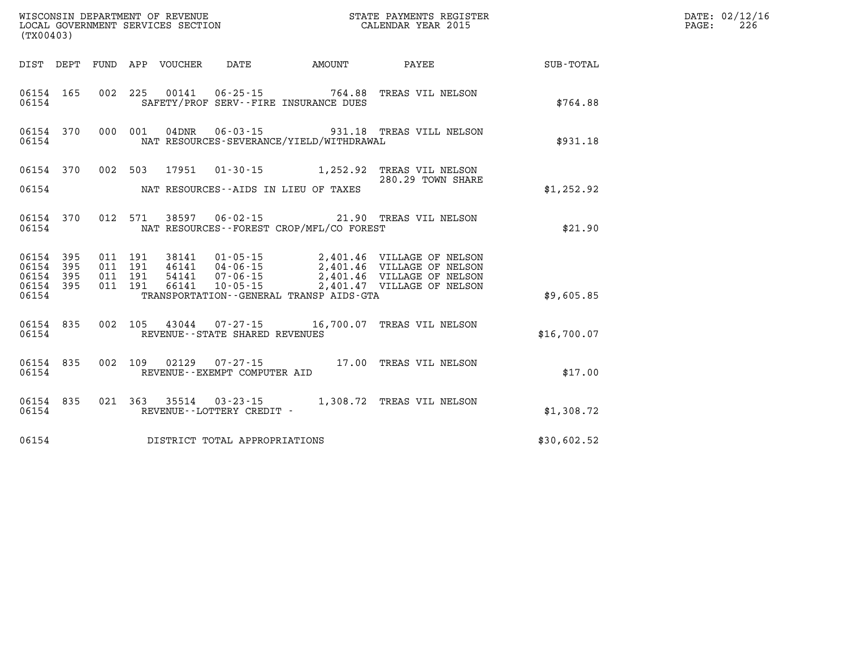| (TX00403)                                             |                    |                                          |                                 |                                |                                             |                                                                                                                                                                            |             | DATE: 02/12/16<br>226<br>PAGE: |
|-------------------------------------------------------|--------------------|------------------------------------------|---------------------------------|--------------------------------|---------------------------------------------|----------------------------------------------------------------------------------------------------------------------------------------------------------------------------|-------------|--------------------------------|
|                                                       |                    |                                          | DIST DEPT FUND APP VOUCHER DATE |                                |                                             | AMOUNT PAYEE                                                                                                                                                               | SUB-TOTAL   |                                |
| 06154                                                 | 06154 165          |                                          |                                 |                                | SAFETY/PROF SERV--FIRE INSURANCE DUES       | 002  225  00141  06-25-15  764.88  TREAS VIL NELSON                                                                                                                        | \$764.88    |                                |
| 06154                                                 | 06154 370          |                                          |                                 |                                | NAT RESOURCES-SEVERANCE/YIELD/WITHDRAWAL    | 000 001 04DNR 06-03-15 931.18 TREAS VILL NELSON                                                                                                                            | \$931.18    |                                |
|                                                       |                    |                                          |                                 |                                | 06154 NAT RESOURCES--AIDS IN LIEU OF TAXES  | 06154 370 002 503 17951 01-30-15 1,252.92 TREAS VIL NELSON<br>280.29 TOWN SHARE                                                                                            | \$1,252.92  |                                |
| 06154                                                 | 06154 370          |                                          |                                 |                                | NAT RESOURCES - - FOREST CROP/MFL/CO FOREST | 012 571 38597 06-02-15 21.90 TREAS VIL NELSON                                                                                                                              | \$21.90     |                                |
| 06154 395<br>06154 395<br>06154<br>06154 395<br>06154 | 395                | 011 191<br>011 191<br>011 191<br>011 191 | 66141                           | $10 - 05 - 15$                 | TRANSPORTATION--GENERAL TRANSP AIDS-GTA     | 38141  01-05-15  2,401.46  VILLAGE OF NELSON<br>46141  04-06-15  2,401.46  VILLAGE OF NELSON<br>54141  07-06-15  2,401.46  VILLAGE OF NELSON<br>2,401.47 VILLAGE OF NELSON | \$9,605.85  |                                |
| 06154                                                 | 06154 835          |                                          |                                 | REVENUE--STATE SHARED REVENUES |                                             | 002 105 43044 07-27-15 16,700.07 TREAS VIL NELSON                                                                                                                          | \$16,700.07 |                                |
|                                                       | 06154 835<br>06154 |                                          |                                 | REVENUE--EXEMPT COMPUTER AID   |                                             | 002 109 02129 07-27-15 17.00 TREAS VIL NELSON                                                                                                                              | \$17.00     |                                |
| 06154                                                 |                    |                                          |                                 | REVENUE--LOTTERY CREDIT -      |                                             | 06154 835 021 363 35514 03-23-15 1,308.72 TREAS VIL NELSON                                                                                                                 | \$1,308.72  |                                |
| 06154                                                 |                    |                                          |                                 | DISTRICT TOTAL APPROPRIATIONS  |                                             |                                                                                                                                                                            | \$30,602.52 |                                |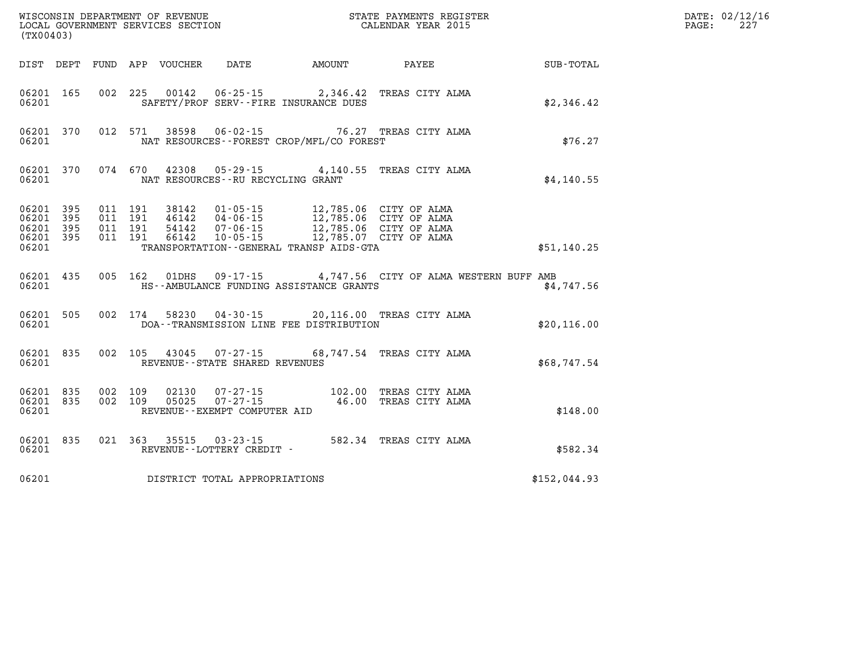| (TX00403)          |           |                    |                |                                   |                                                                                                                                                                                                                                                                                                                                                                                            | WISCONSIN DEPARTMENT OF REVENUE<br>LOCAL GOVERNMENT SERVICES SECTION<br>(TWOO402) CALENDAR YEAR 2015 |              | DATE: 02/12/16<br>PAGE:<br>227 |
|--------------------|-----------|--------------------|----------------|-----------------------------------|--------------------------------------------------------------------------------------------------------------------------------------------------------------------------------------------------------------------------------------------------------------------------------------------------------------------------------------------------------------------------------------------|------------------------------------------------------------------------------------------------------|--------------|--------------------------------|
|                    |           |                    |                |                                   |                                                                                                                                                                                                                                                                                                                                                                                            | DIST DEPT FUND APP VOUCHER DATE AMOUNT PAYEE                                                         | SUB-TOTAL    |                                |
| 06201 165<br>06201 |           |                    |                |                                   | SAFETY/PROF SERV--FIRE INSURANCE DUES                                                                                                                                                                                                                                                                                                                                                      | 002 225 00142 06-25-15 2,346.42 TREAS CITY ALMA                                                      | \$2,346.42   |                                |
| 06201              |           |                    |                |                                   | NAT RESOURCES--FOREST CROP/MFL/CO FOREST                                                                                                                                                                                                                                                                                                                                                   | 06201 370 012 571 38598 06-02-15 76.27 TREAS CITY ALMA                                               | \$76.27      |                                |
| 06201              |           |                    |                | NAT RESOURCES--RU RECYCLING GRANT |                                                                                                                                                                                                                                                                                                                                                                                            | 06201 370 074 670 42308 05-29-15 4,140.55 TREAS CITY ALMA                                            | \$4,140.55   |                                |
| 06201              |           |                    |                |                                   | $\begin{array}{cccccccc} 06201 & 395 & 011 & 191 & 38142 & 01\texttt{-}05\texttt{-}15 & & 12\texttt{,}785.06 & \texttt{CITY OF ALMA} \\ 06201 & 395 & 011 & 191 & 46142 & 04\texttt{-}06\texttt{-}15 & & 12\texttt{,}785.06 & \texttt{CITY OF ALMA} \\ 06201 & 395 & 011 & 191 & 54142 & 07\texttt{-}06\texttt{-}15 & & 12\texttt{,}785.0$<br>TRANSPORTATION - - GENERAL TRANSP AIDS - GTA |                                                                                                      | \$51,140.25  |                                |
| 06201              |           |                    |                |                                   | HS--AMBULANCE FUNDING ASSISTANCE GRANTS                                                                                                                                                                                                                                                                                                                                                    | 06201 435 005 162 01DHS 09-17-15 4,747.56 CITY OF ALMA WESTERN BUFF AMB                              | \$4,747.56   |                                |
| 06201              | 06201 505 |                    |                |                                   | DOA--TRANSMISSION LINE FEE DISTRIBUTION                                                                                                                                                                                                                                                                                                                                                    | 002 174 58230 04-30-15 20,116.00 TREAS CITY ALMA                                                     | \$20, 116.00 |                                |
| 06201              |           |                    |                | REVENUE--STATE SHARED REVENUES    |                                                                                                                                                                                                                                                                                                                                                                                            | 06201 835 002 105 43045 07-27-15 68,747.54 TREAS CITY ALMA                                           | \$68,747.54  |                                |
| 06201 835<br>06201 | 06201 835 | 002 109<br>002 109 | 02130<br>05025 | REVENUE--EXEMPT COMPUTER AID      |                                                                                                                                                                                                                                                                                                                                                                                            | 07-27-15 102.00 TREAS CITY ALMA<br>07-27-15 46.00 TREAS CITY ALMA                                    | \$148.00     |                                |
| 06201              |           |                    |                | REVENUE--LOTTERY CREDIT -         |                                                                                                                                                                                                                                                                                                                                                                                            | 06201 835 021 363 35515 03-23-15 582.34 TREAS CITY ALMA                                              | \$582.34     |                                |
| 06201              |           |                    |                | DISTRICT TOTAL APPROPRIATIONS     |                                                                                                                                                                                                                                                                                                                                                                                            |                                                                                                      | \$152,044.93 |                                |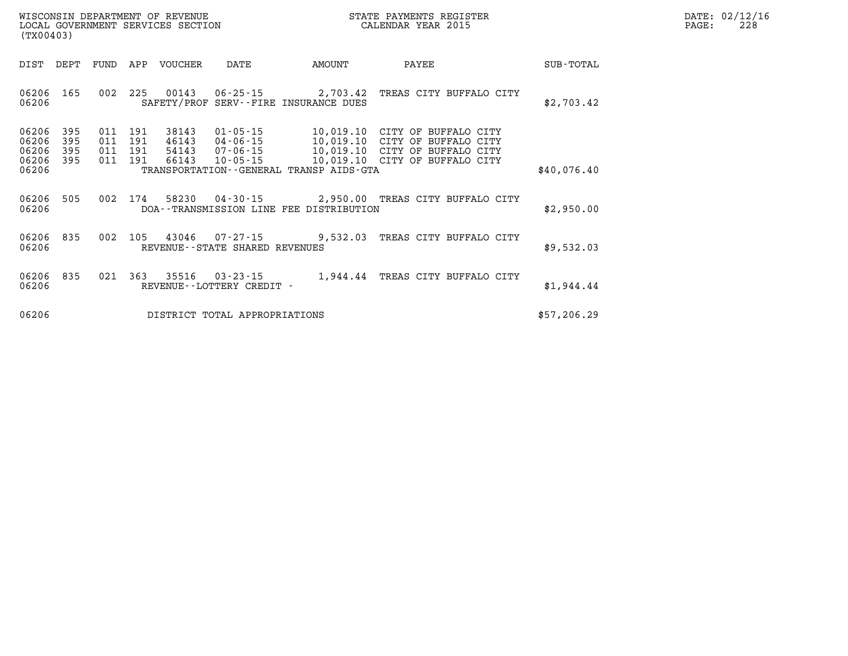| WISCONSIN DEPARTMENT OF REVENUE   | STATE PAYMENTS REGISTER | DATE: 02/12/16 |
|-----------------------------------|-------------------------|----------------|
| LOCAL GOVERNMENT SERVICES SECTION | CALENDAR YEAR 2015      | 228<br>PAGE:   |

| (TX00403)               |            |         |                | LOCAL GOVERNMENT SERVICES SECTION |                                             |                                                                                                                  | CALENDAR YEAR 2015               |             | PAGE: | 228 |
|-------------------------|------------|---------|----------------|-----------------------------------|---------------------------------------------|------------------------------------------------------------------------------------------------------------------|----------------------------------|-------------|-------|-----|
| DIST                    | DEPT       | FUND    | APP            | VOUCHER                           | DATE                                        | AMOUNT                                                                                                           | PAYEE                            | SUB-TOTAL   |       |     |
| 06206<br>06206          | 165        |         |                |                                   |                                             | 002 225 00143 06-25-15 2,703.42 TREAS CITY BUFFALO CITY<br>SAFETY/PROF SERV--FIRE INSURANCE DUES                 |                                  | \$2,703.42  |       |     |
| 06206<br>06206          | 395<br>395 | 011     | 011 191<br>191 | 38143<br>46143                    | $01 - 05 - 15$<br>04-06-15                  | 10,019.10 CITY OF BUFFALO CITY<br>10,019.10 CITY OF BUFFALO CITY                                                 |                                  |             |       |     |
| 06206<br>06206<br>06206 | 395<br>395 | 011 191 | 011 191        | 54143<br>66143                    | 07-06-15<br>$10 - 05 - 15$                  | 10,019.10 CITY OF BUFFALO CITY<br>10,019.10 CITY OF BUFFALO CITY<br>TRANSPORTATION - - GENERAL TRANSP AIDS - GTA |                                  | \$40,076.40 |       |     |
| 06206<br>06206          | 505        |         | 002 174        |                                   |                                             | 58230  04-30-15  2,950.00  TREAS CITY BUFFALO CITY<br>DOA--TRANSMISSION LINE FEE DISTRIBUTION                    |                                  | \$2,950.00  |       |     |
| 06206<br>06206          | 835        |         |                |                                   | REVENUE--STATE SHARED REVENUES              | 002 105 43046 07-27-15 9,532.03 TREAS CITY BUFFALO CITY                                                          |                                  | \$9,532.03  |       |     |
| 06206<br>06206          | 835        |         | 021 363        | 35516                             | $03 - 23 - 15$<br>REVENUE--LOTTERY CREDIT - |                                                                                                                  | 1,944.44 TREAS CITY BUFFALO CITY | \$1,944.44  |       |     |
| 06206                   |            |         |                |                                   | DISTRICT TOTAL APPROPRIATIONS               |                                                                                                                  |                                  | \$57,206.29 |       |     |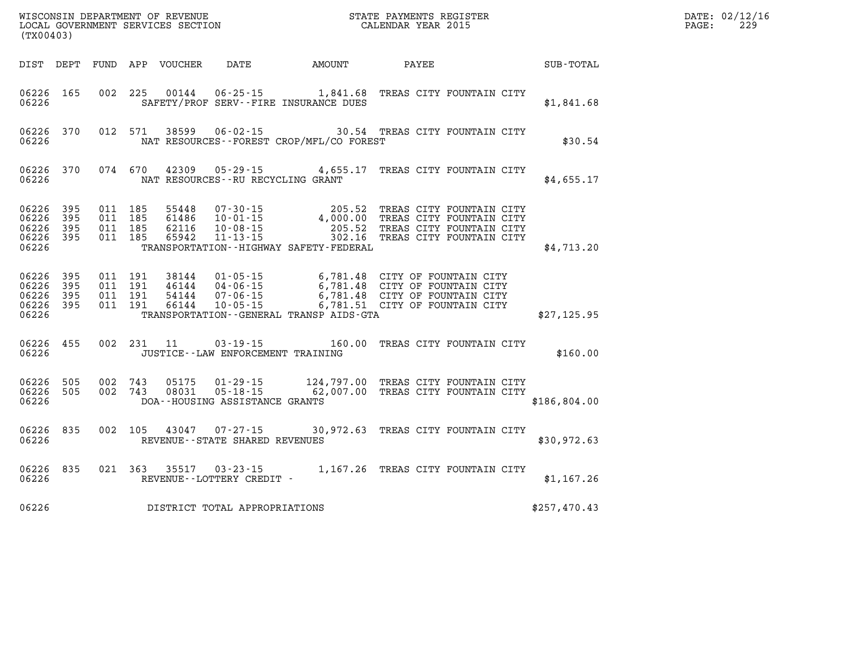| WISCONSIN DEPARTMENT OF REVENUE   | PAYMENTS REGISTER<br>3TATE - | 02/12/16<br>DATE |
|-----------------------------------|------------------------------|------------------|
| LOCAL GOVERNMENT SERVICES SECTION | CALENDAR YEAR 2015           | 229<br>PAGE      |

| (TX00403)                                             |           |                               | LOCAL GOVERNMENT SERVICES SECTION |                                 | CALENDAR YEAR 2015                                                                                                                                                                                                                                                          |  |              | PAGE: | 229 |
|-------------------------------------------------------|-----------|-------------------------------|-----------------------------------|---------------------------------|-----------------------------------------------------------------------------------------------------------------------------------------------------------------------------------------------------------------------------------------------------------------------------|--|--------------|-------|-----|
|                                                       |           |                               |                                   |                                 | DIST DEPT FUND APP VOUCHER DATE AMOUNT PAYEE SUB-TOTAL                                                                                                                                                                                                                      |  |              |       |     |
| 06226                                                 | 06226 165 |                               |                                   |                                 | 002 225 00144 06-25-15 1,841.68 TREAS CITY FOUNTAIN CITY<br>SAFETY/PROF SERV--FIRE INSURANCE DUES                                                                                                                                                                           |  | \$1,841.68   |       |     |
| 06226                                                 | 06226 370 |                               |                                   |                                 | 012 571 38599 06-02-15 30.54 TREAS CITY FOUNTAIN CITY<br>NAT RESOURCES - - FOREST CROP/MFL/CO FOREST                                                                                                                                                                        |  | \$30.54      |       |     |
| 06226                                                 | 06226 370 |                               |                                   |                                 | 074 670 42309 05-29-15 4,655.17 TREAS CITY FOUNTAIN CITY<br>NAT RESOURCES--RU RECYCLING GRANT                                                                                                                                                                               |  | \$4,655.17   |       |     |
| 06226<br>06226 395<br>06226 395<br>06226 395<br>06226 | 395       | 011 185<br>011 185<br>011 185 | 011 185 65942                     |                                 | 55448 07-30-15 205.52 TREAS CITY FOUNTAIN CITY<br>61486 10-01-15 4,000.00 TREAS CITY FOUNTAIN CITY<br>62116 10-08-15 205.52 TREAS CITY FOUNTAIN CITY<br>65942 11-13-15 302.16 TREAS CITY FOUNTAIN CITY<br>TRANSPORTATION - - HIGHWAY SAFETY - FEDERAL                       |  | \$4,713.20   |       |     |
| 06226 395<br>06226<br>06226 395<br>06226 395<br>06226 | 395       |                               |                                   |                                 | 011 191 38144 01-05-15 6,781.48 CITY OF FOUNTAIN CITY<br>011 191 46144 04-06-15 6,781.48 CITY OF FOUNTAIN CITY<br>011 191 66144 10-05-15 6,781.48 CITY OF FOUNTAIN CITY<br>011 191 66144 10-05-15 6,781.51 CITY OF FOUNTAIN CITY<br>TRANSPORTATION--GENERAL TRANSP AIDS-GTA |  | \$27,125.95  |       |     |
| 06226 455<br>06226                                    |           |                               |                                   |                                 | 002 231 11 03-19-15 160.00 TREAS CITY FOUNTAIN CITY<br>JUSTICE - - LAW ENFORCEMENT TRAINING                                                                                                                                                                                 |  | \$160.00     |       |     |
| 06226 505<br>06226                                    | 06226 505 |                               |                                   | DOA--HOUSING ASSISTANCE GRANTS  | 002 743 05175 01-29-15 124,797.00 TREAS CITY FOUNTAIN CITY<br>002 743 08031 05-18-15 62,007.00 TREAS CITY FOUNTAIN CITY                                                                                                                                                     |  | \$186,804.00 |       |     |
| 06226 835                                             |           |                               |                                   |                                 | 002 105 43047 07-27-15 30,972.63 TREAS CITY FOUNTAIN CITY<br>06226 REVENUE--STATE SHARED REVENUES                                                                                                                                                                           |  | \$30,972.63  |       |     |
|                                                       | 06226 835 |                               |                                   | 06226 REVENUE--LOTTERY CREDIT - | 021 363 35517 03-23-15 1,167.26 TREAS CITY FOUNTAIN CITY                                                                                                                                                                                                                    |  | \$1,167.26   |       |     |
| 06226                                                 |           |                               |                                   | DISTRICT TOTAL APPROPRIATIONS   |                                                                                                                                                                                                                                                                             |  | \$257,470.43 |       |     |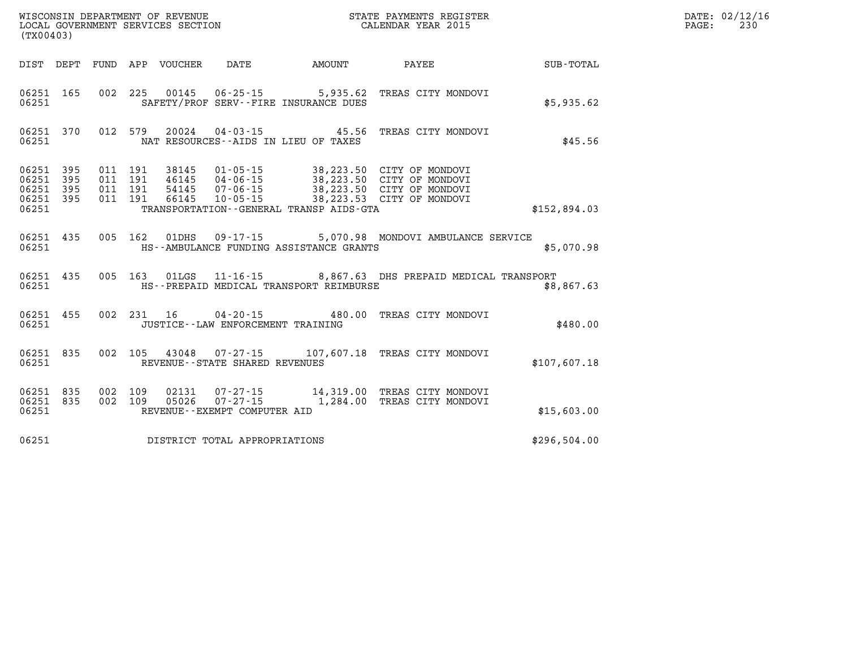| (TX00403)      |                                            |  |                  |                                     |                                              |                                                                                                                                                                                                              |                      | $\mathtt{PAGE:}$ | DATE: 02/12/16<br>230 |
|----------------|--------------------------------------------|--|------------------|-------------------------------------|----------------------------------------------|--------------------------------------------------------------------------------------------------------------------------------------------------------------------------------------------------------------|----------------------|------------------|-----------------------|
|                |                                            |  |                  |                                     | DIST DEPT FUND APP VOUCHER DATE AMOUNT PAYEE |                                                                                                                                                                                                              | $\texttt{SUB-TOTAL}$ |                  |                       |
| 06251          | 06251 165                                  |  |                  |                                     | SAFETY/PROF SERV--FIRE INSURANCE DUES        | 002 225 00145 06-25-15 5,935.62 TREAS CITY MONDOVI                                                                                                                                                           | \$5,935.62           |                  |                       |
| 06251          | 06251 370                                  |  |                  |                                     | NAT RESOURCES--AIDS IN LIEU OF TAXES         | 012 579 20024 04-03-15 45.56 TREAS CITY MONDOVI                                                                                                                                                              | \$45.56              |                  |                       |
| 06251<br>06251 | 06251 395<br>395<br>06251 395<br>06251 395 |  |                  |                                     | TRANSPORTATION - - GENERAL TRANSP AIDS - GTA | 011 191 38145 01-05-15 38,223.50 CITY OF MONDOVI<br>011 191 46145 04-06-15 38,223.50 CITY OF MONDOVI<br>011 191 54145 07-06-15 38,223.50 CITY OF MONDOVI<br>011 191 66145 10-05-15 38,223.53 CITY OF MONDOVI | \$152,894.03         |                  |                       |
| 06251          | 06251 435                                  |  |                  |                                     | HS--AMBULANCE FUNDING ASSISTANCE GRANTS      | 005 162 01DHS 09-17-15 5,070.98 MONDOVI AMBULANCE SERVICE                                                                                                                                                    | \$5,070.98           |                  |                       |
| 06251          | 06251 435                                  |  |                  |                                     | HS--PREPAID MEDICAL TRANSPORT REIMBURSE      | 005 163 01LGS 11-16-15 8,867.63 DHS PREPAID MEDICAL TRANSPORT                                                                                                                                                | \$8,867.63           |                  |                       |
|                | 06251 455<br>06251                         |  |                  | JUSTICE -- LAW ENFORCEMENT TRAINING |                                              | 002 231 16 04-20-15 480.00 TREAS CITY MONDOVI                                                                                                                                                                | \$480.00             |                  |                       |
| 06251          | 06251 835                                  |  |                  | REVENUE--STATE SHARED REVENUES      |                                              | 002 105 43048 07-27-15 107,607.18 TREAS CITY MONDOVI                                                                                                                                                         | \$107,607.18         |                  |                       |
| 06251          | 06251 835<br>06251 835                     |  | 002 109<br>05026 | REVENUE--EXEMPT COMPUTER AID        |                                              | 002 109 02131 07-27-15 14,319.00 TREAS CITY MONDOVI<br>07-27-15 1,284.00 TREAS CITY MONDOVI                                                                                                                  | \$15,603.00          |                  |                       |
| 06251          |                                            |  |                  | DISTRICT TOTAL APPROPRIATIONS       |                                              |                                                                                                                                                                                                              | \$296,504.00         |                  |                       |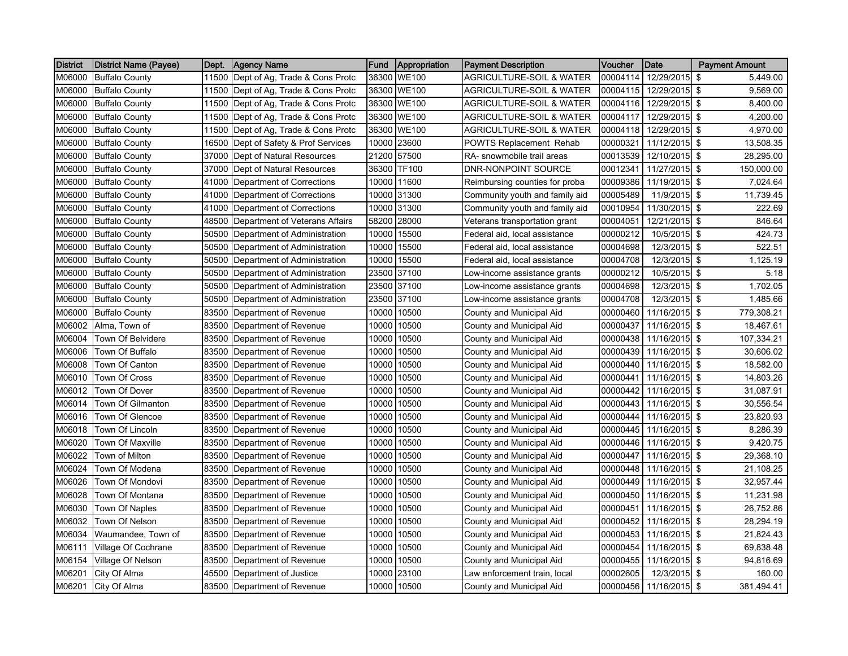| District | <b>District Name (Payee)</b> | Dept. | <b>Agency Name</b>                   | Fund  | Appropriation | <b>Payment Description</b>          | Voucher  | Date          | <b>Payment Amount</b> |
|----------|------------------------------|-------|--------------------------------------|-------|---------------|-------------------------------------|----------|---------------|-----------------------|
| M06000   | <b>Buffalo County</b>        |       | 11500 Dept of Ag, Trade & Cons Protc |       | 36300 WE100   | <b>AGRICULTURE-SOIL &amp; WATER</b> | 00004114 | 12/29/2015 \$ | 5,449.00              |
| M06000   | <b>Buffalo County</b>        | 11500 | Dept of Ag, Trade & Cons Protc       |       | 36300 WE100   | <b>AGRICULTURE-SOIL &amp; WATER</b> | 00004115 | 12/29/2015 \$ | 9,569.00              |
| M06000   | <b>Buffalo County</b>        |       | 11500 Dept of Ag, Trade & Cons Protc |       | 36300 WE100   | <b>AGRICULTURE-SOIL &amp; WATER</b> | 00004116 | 12/29/2015 \$ | 8,400.00              |
| M06000   | <b>Buffalo County</b>        |       | 11500 Dept of Ag. Trade & Cons Protc |       | 36300 WE100   | AGRICULTURE-SOIL & WATER            | 00004117 | 12/29/2015 \$ | 4,200.00              |
| M06000   | <b>Buffalo County</b>        |       | 11500 Dept of Ag, Trade & Cons Protc |       | 36300 WE100   | AGRICULTURE-SOIL & WATER            | 00004118 | 12/29/2015 \$ | 4,970.00              |
| M06000   | <b>Buffalo County</b>        |       | 16500 Dept of Safety & Prof Services |       | 10000 23600   | POWTS Replacement Rehab             | 00000321 | 11/12/2015 \$ | 13,508.35             |
| M06000   | <b>Buffalo County</b>        |       | 37000 Dept of Natural Resources      |       | 21200 57500   | RA- snowmobile trail areas          | 00013539 | 12/10/2015 \$ | 28,295.00             |
| M06000   | <b>Buffalo County</b>        | 37000 | Dept of Natural Resources            |       | 36300 TF100   | <b>DNR-NONPOINT SOURCE</b>          | 00012341 | 11/27/2015 \$ | 150,000.00            |
| M06000   | <b>Buffalo County</b>        | 41000 | Department of Corrections            |       | 10000 11600   | Reimbursing counties for proba      | 00009386 | 11/19/2015 \$ | 7,024.64              |
| M06000   | <b>Buffalo County</b>        |       | 41000 Department of Corrections      |       | 10000 31300   | Community youth and family aid      | 00005489 | 11/9/2015 \$  | 11,739.45             |
| M06000   | <b>Buffalo County</b>        |       | 41000 Department of Corrections      |       | 10000 31300   | Community youth and family aid      | 00010954 | 11/30/2015 \$ | 222.69                |
| M06000   | <b>Buffalo County</b>        |       | 48500 Department of Veterans Affairs | 58200 | 28000         | Veterans transportation grant       | 00004051 | 12/21/2015 \$ | 846.64                |
| M06000   | <b>Buffalo County</b>        | 50500 | Department of Administration         |       | 10000 15500   | Federal aid, local assistance       | 00000212 | 10/5/2015 \$  | 424.73                |
| M06000   | <b>Buffalo County</b>        | 50500 | Department of Administration         | 10000 | 15500         | Federal aid, local assistance       | 00004698 | 12/3/2015 \$  | 522.51                |
| M06000   | <b>Buffalo County</b>        | 50500 | Department of Administration         | 10000 | 15500         | Federal aid, local assistance       | 00004708 | 12/3/2015 \$  | 1,125.19              |
| M06000   | <b>Buffalo County</b>        | 50500 | Department of Administration         |       | 23500 37100   | Low-income assistance grants        | 00000212 | 10/5/2015 \$  | 5.18                  |
| M06000   | <b>Buffalo County</b>        |       | 50500 Department of Administration   |       | 23500 37100   | Low-income assistance grants        | 00004698 | 12/3/2015 \$  | 1,702.05              |
| M06000   | <b>Buffalo County</b>        |       | 50500 Department of Administration   |       | 23500 37100   | Low-income assistance grants        | 00004708 | 12/3/2015 \$  | 1,485.66              |
| M06000   | <b>Buffalo County</b>        | 83500 | Department of Revenue                |       | 10000 10500   | County and Municipal Aid            | 00000460 | 11/16/2015 \$ | 779,308.21            |
| M06002   | Alma, Town of                | 83500 | Department of Revenue                |       | 10000 10500   | County and Municipal Aid            | 00000437 | 11/16/2015 \$ | 18,467.61             |
| M06004   | Town Of Belvidere            | 83500 | Department of Revenue                |       | 10000 10500   | County and Municipal Aid            | 00000438 | 11/16/2015 \$ | 107,334.21            |
| M06006   | Town Of Buffalo              |       | 83500 Department of Revenue          |       | 10000 10500   | County and Municipal Aid            | 00000439 | 11/16/2015 \$ | 30,606.02             |
| M06008   | Town Of Canton               |       | 83500 Department of Revenue          |       | 10000 10500   | County and Municipal Aid            | 00000440 | 11/16/2015 \$ | 18,582.00             |
| M06010   | Town Of Cross                |       | 83500 Department of Revenue          |       | 10000 10500   | County and Municipal Aid            | 00000441 | 11/16/2015 \$ | 14,803.26             |
| M06012   | Town Of Dover                | 83500 | Department of Revenue                | 10000 | 10500         | County and Municipal Aid            | 00000442 | 11/16/2015 \$ | 31,087.91             |
| M06014   | Town Of Gilmanton            | 83500 | Department of Revenue                | 10000 | 10500         | County and Municipal Aid            | 00000443 | 11/16/2015 \$ | 30,556.54             |
| M06016   | Town Of Glencoe              | 83500 | Department of Revenue                |       | 10000 10500   | County and Municipal Aid            | 00000444 | 11/16/2015 \$ | 23,820.93             |
| M06018   | Town Of Lincoln              |       | 83500 Department of Revenue          |       | 10000 10500   | County and Municipal Aid            | 00000445 | 11/16/2015 \$ | 8,286.39              |
| M06020   | Town Of Maxville             | 83500 | Department of Revenue                |       | 10000 10500   | County and Municipal Aid            | 00000446 | 11/16/2015 \$ | 9,420.75              |
| M06022   | Town of Milton               | 83500 | Department of Revenue                |       | 10000 10500   | County and Municipal Aid            | 00000447 | 11/16/2015 \$ | 29,368.10             |
| M06024   | Town Of Modena               | 83500 | Department of Revenue                |       | 10000 10500   | County and Municipal Aid            | 00000448 | 11/16/2015 \$ | 21,108.25             |
| M06026   | Town Of Mondovi              | 83500 | Department of Revenue                | 10000 | 10500         | County and Municipal Aid            | 00000449 | 11/16/2015 \$ | 32,957.44             |
| M06028   | Town Of Montana              | 83500 | Department of Revenue                |       | 10000 10500   | County and Municipal Aid            | 00000450 | 11/16/2015 \$ | 11,231.98             |
| M06030   | Town Of Naples               |       | 83500 Department of Revenue          |       | 10000 10500   | County and Municipal Aid            | 00000451 | 11/16/2015 \$ | 26,752.86             |
| M06032   | Town Of Nelson               |       | 83500 Department of Revenue          |       | 10000 10500   | County and Municipal Aid            | 00000452 | 11/16/2015 \$ | 28,294.19             |
| M06034   | Waumandee, Town of           | 83500 | Department of Revenue                | 10000 | 10500         | County and Municipal Aid            | 00000453 | 11/16/2015 \$ | 21,824.43             |
| M06111   | Village Of Cochrane          | 83500 | Department of Revenue                | 10000 | 10500         | County and Municipal Aid            | 00000454 | 11/16/2015 \$ | 69,838.48             |
| M06154   | Village Of Nelson            | 83500 | Department of Revenue                | 10000 | 10500         | County and Municipal Aid            | 00000455 | 11/16/2015 \$ | 94,816.69             |
| M06201   | City Of Alma                 | 45500 | Department of Justice                | 10000 | 23100         | Law enforcement train, local        | 00002605 | 12/3/2015 \$  | 160.00                |
| M06201   | City Of Alma                 |       | 83500 Department of Revenue          |       | 10000 10500   | County and Municipal Aid            | 00000456 | 11/16/2015 \$ | 381,494.41            |